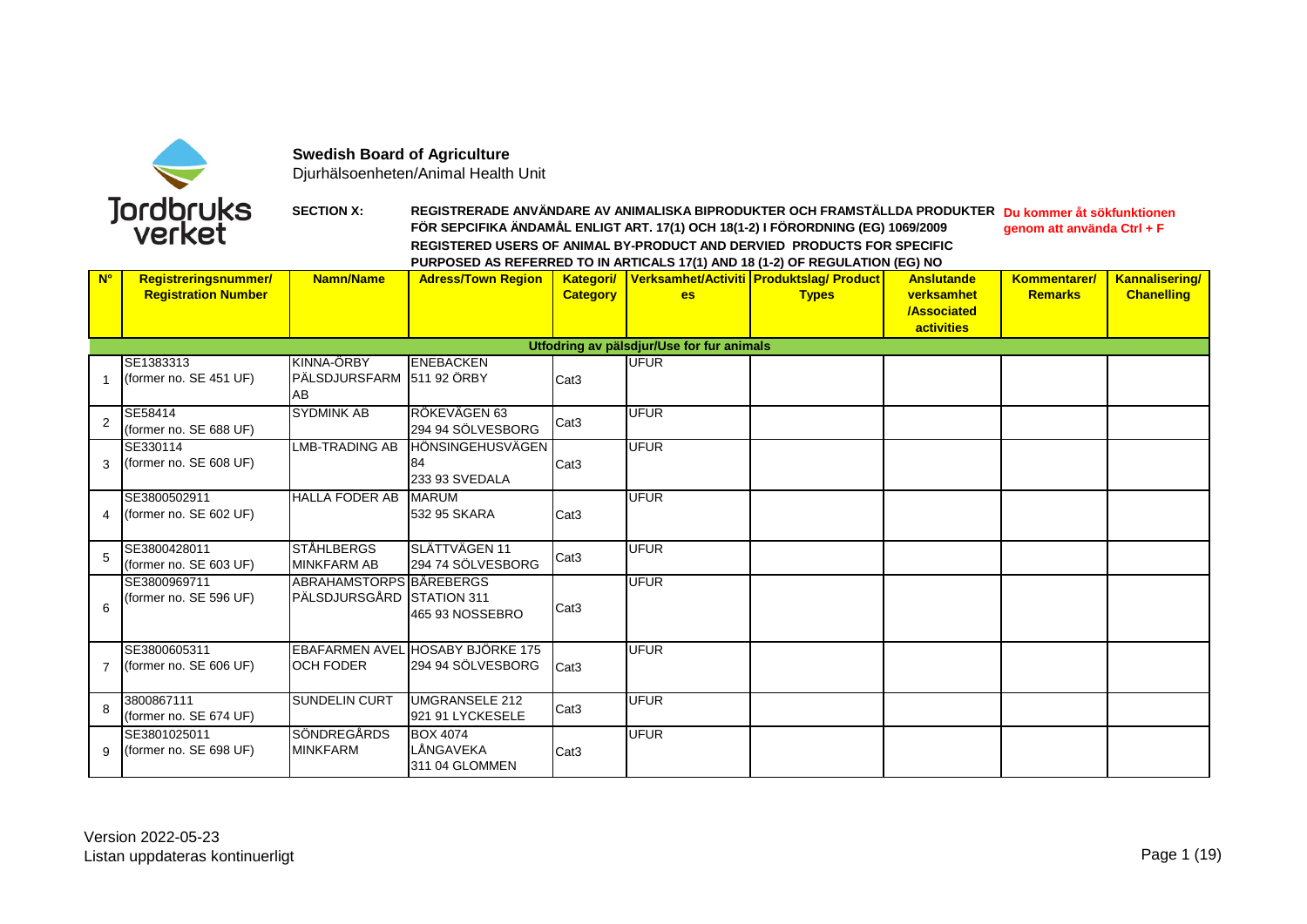

**Swedish Board of Agriculture**

Djurhälsoenheten/Animal Health Unit

## **SECTION X: REGISTRERADE ANVÄNDARE AV ANIMALISKA BIPRODUKTER OCH FRAMSTÄLLDA PRODUKTER Du kommer åt sökfunktionen FÖR SEPCIFIKA ÄNDAMÅL ENLIGT ART. 17(1) OCH 18(1-2) I FÖRORDNING (EG) 1069/2009 REGISTERED USERS OF ANIMAL BY-PRODUCT AND DERVIED PRODUCTS FOR SPECIFIC PURPOSED AS REFERRED TO IN ARTICALS 17(1) AND 18 (1-2) OF REGULATION (EG) NO genom att använda Ctrl + F**

| $N^{\circ}$ |                            | <b>Namn/Name</b>          | $\frac{1}{2}$ on our notice in the set of $\frac{1}{2}$ of $\frac{1}{2}$ of $\frac{1}{2}$ or $\frac{1}{2}$<br><b>Adress/Town Region</b> |                                      |                                           |                                                    | <b>Anslutande</b>  | <b>Kommentarer/</b> | <b>Kannalisering/</b> |
|-------------|----------------------------|---------------------------|-----------------------------------------------------------------------------------------------------------------------------------------|--------------------------------------|-------------------------------------------|----------------------------------------------------|--------------------|---------------------|-----------------------|
|             | Registreringsnummer/       |                           |                                                                                                                                         |                                      |                                           | Kategori/ Verksamhet/Activiti Produktslag/ Product |                    |                     |                       |
|             | <b>Registration Number</b> |                           |                                                                                                                                         | <b>Category</b>                      | es:                                       | <b>Types</b>                                       | verksamhet         | <b>Remarks</b>      | <b>Chanelling</b>     |
|             |                            |                           |                                                                                                                                         |                                      |                                           |                                                    | <b>/Associated</b> |                     |                       |
|             |                            |                           |                                                                                                                                         |                                      |                                           |                                                    | <b>activities</b>  |                     |                       |
|             |                            |                           |                                                                                                                                         |                                      | Utfodring av pälsdjur/Use for fur animals |                                                    |                    |                     |                       |
|             | SE1383313                  | KINNA-ÖRBY                | <b>ENEBACKEN</b>                                                                                                                        |                                      | <b>UFUR</b>                               |                                                    |                    |                     |                       |
| 1           | (former no. SE 451 UF)     | PÄLSDJURSFARM 511 92 ÖRBY |                                                                                                                                         | Cat <sub>3</sub>                     |                                           |                                                    |                    |                     |                       |
|             |                            | AB                        |                                                                                                                                         |                                      |                                           |                                                    |                    |                     |                       |
|             | SE58414                    | <b>SYDMINK AB</b>         | RÖKEVÄGEN 63                                                                                                                            |                                      | <b>UFUR</b>                               |                                                    |                    |                     |                       |
| 2           | (former no. SE 688 UF)     |                           | 294 94 SÖLVESBORG                                                                                                                       | Cat <sub>3</sub>                     |                                           |                                                    |                    |                     |                       |
|             | SE330114                   | <b>LMB-TRADING AB</b>     | <b>HÖNSINGEHUSVÄGEN</b>                                                                                                                 |                                      | <b>UFUR</b>                               |                                                    |                    |                     |                       |
| 3           | (former no. SE 608 UF)     |                           | 84                                                                                                                                      | Cat <sub>3</sub>                     |                                           |                                                    |                    |                     |                       |
|             |                            |                           | 233 93 SVEDALA                                                                                                                          |                                      |                                           |                                                    |                    |                     |                       |
|             | SE3800502911               | <b>HALLA FODER AB</b>     | <b>MARUM</b>                                                                                                                            |                                      | <b>UFUR</b>                               |                                                    |                    |                     |                       |
| 4           | (former no. SE 602 UF)     |                           | 532 95 SKARA                                                                                                                            | Cat <sub>3</sub>                     |                                           |                                                    |                    |                     |                       |
|             |                            |                           |                                                                                                                                         |                                      |                                           |                                                    |                    |                     |                       |
|             | SE3800428011               | <b>STÅHLBERGS</b>         | SLÄTTVÄGEN 11                                                                                                                           |                                      | <b>UFUR</b>                               |                                                    |                    |                     |                       |
| 5           | (former no. SE 603 UF)     | <b>MINKFARM AB</b>        | 294 74 SÖLVESBORG                                                                                                                       | Cat <sub>3</sub>                     |                                           |                                                    |                    |                     |                       |
|             | SE3800969711               | ABRAHAMSTORPSIBÄREBERGS   |                                                                                                                                         |                                      | <b>UFUR</b>                               |                                                    |                    |                     |                       |
|             | (former no. SE 596 UF)     | PÄLSDJURSGÅRD STATION 311 |                                                                                                                                         |                                      |                                           |                                                    |                    |                     |                       |
| 6           |                            |                           | 465 93 NOSSEBRO                                                                                                                         | Cat <sub>3</sub>                     |                                           |                                                    |                    |                     |                       |
|             |                            |                           |                                                                                                                                         |                                      |                                           |                                                    |                    |                     |                       |
|             | SE3800605311               |                           | EBAFARMEN AVEL HOSABY BJÖRKE 175                                                                                                        |                                      | <b>UFUR</b>                               |                                                    |                    |                     |                       |
| 7           | (former no. SE 606 UF)     | <b>OCH FODER</b>          | 294 94 SÖLVESBORG                                                                                                                       | Cat <sub>3</sub>                     |                                           |                                                    |                    |                     |                       |
|             |                            |                           |                                                                                                                                         |                                      |                                           |                                                    |                    |                     |                       |
|             | 3800867111                 | <b>SUNDELIN CURT</b>      | <b>UMGRANSELE 212</b>                                                                                                                   |                                      | <b>UFUR</b>                               |                                                    |                    |                     |                       |
|             | (former no. SE 674 UF)     |                           | 921 91 LYCKESELE                                                                                                                        |                                      |                                           |                                                    |                    |                     |                       |
|             | SE3801025011               | <b>SÖNDREGÅRDS</b>        | <b>BOX 4074</b>                                                                                                                         |                                      | <b>UFUR</b>                               |                                                    |                    |                     |                       |
| 9           | (former no. SE 698 UF)     | <b>MINKFARM</b>           | LÅNGAVEKA                                                                                                                               |                                      |                                           |                                                    |                    |                     |                       |
|             |                            |                           | 311 04 GLOMMEN                                                                                                                          |                                      |                                           |                                                    |                    |                     |                       |
| 8           |                            |                           |                                                                                                                                         | Cat <sub>3</sub><br>Cat <sub>3</sub> |                                           |                                                    |                    |                     |                       |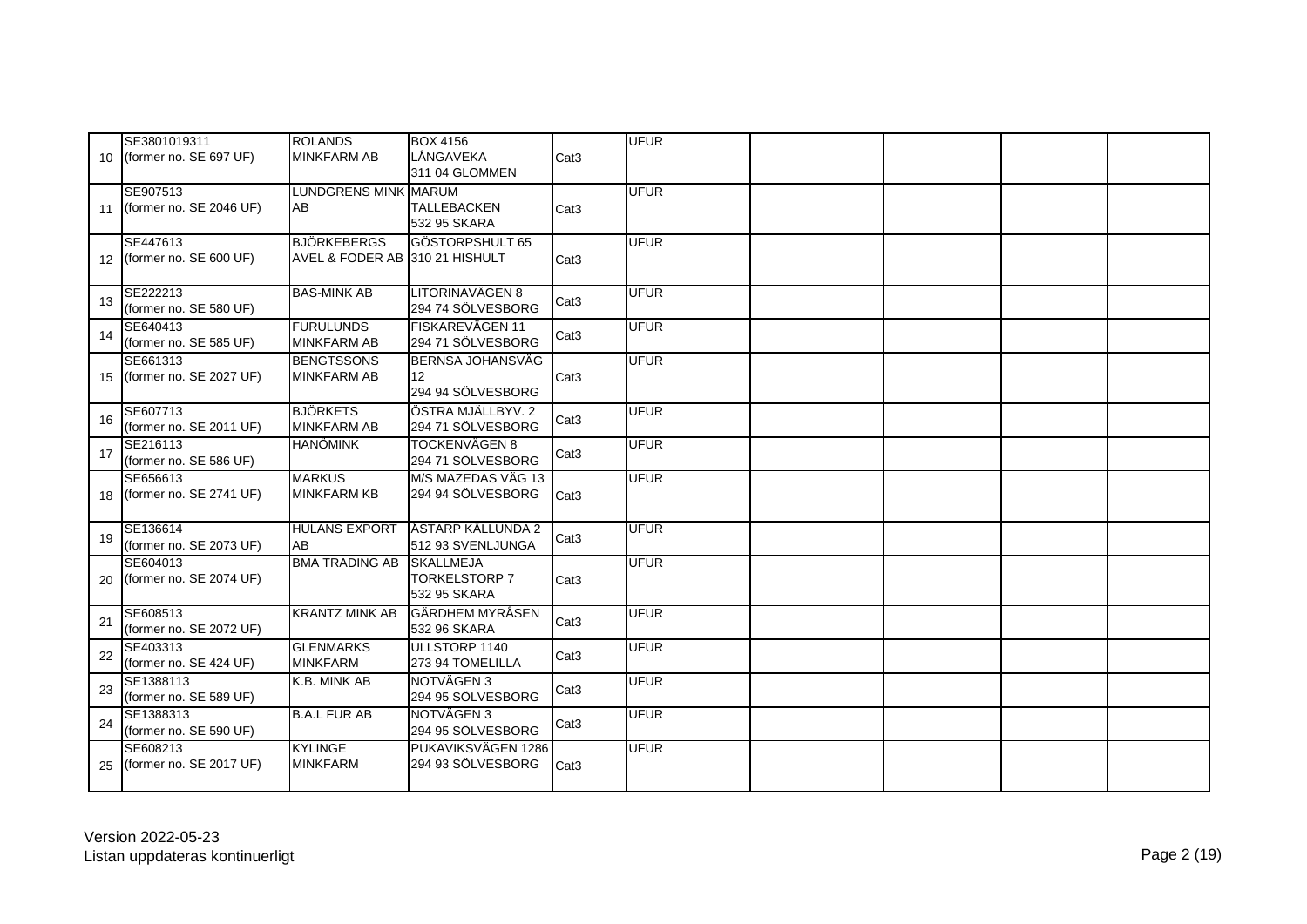| 10 <sup>1</sup> | SE3801019311<br>(former no. SE 697 UF) | <b>ROLANDS</b><br><b>MINKFARM AB</b>                 | <b>BOX 4156</b><br>LÅNGAVEKA<br>311 04 GLOMMEN | Cat <sub>3</sub> | <b>UFUR</b> |  |  |
|-----------------|----------------------------------------|------------------------------------------------------|------------------------------------------------|------------------|-------------|--|--|
| 11              | SE907513<br>(former no. SE 2046 UF)    | <b>LUNDGRENS MINK MARUM</b><br><b>AB</b>             | <b>TALLEBACKEN</b><br>532 95 SKARA             | Cat <sub>3</sub> | <b>UFUR</b> |  |  |
| 12              | SE447613<br>(former no. SE 600 UF)     | <b>BJÖRKEBERGS</b><br>AVEL & FODER AB 310 21 HISHULT | GÖSTORPSHULT 65                                | Cat <sub>3</sub> | <b>UFUR</b> |  |  |
| 13              | SE222213<br>(former no. SE 580 UF)     | <b>BAS-MINK AB</b>                                   | LITORINAVÄGEN 8<br>294 74 SÖLVESBORG           | Cat <sub>3</sub> | <b>UFUR</b> |  |  |
| 14              | SE640413<br>(former no. SE 585 UF)     | <b>FURULUNDS</b><br><b>MINKFARM AB</b>               | FISKAREVÄGEN 11<br>294 71 SÖLVESBORG           | Cat <sub>3</sub> | <b>UFUR</b> |  |  |
| 15              | SE661313<br>(former no. SE 2027 UF)    | <b>BENGTSSONS</b><br><b>MINKFARM AB</b>              | BERNSA JOHANSVÄG<br>12<br>294 94 SÖLVESBORG    | Cat <sub>3</sub> | <b>UFUR</b> |  |  |
| 16              | SE607713<br>(former no. SE 2011 UF)    | <b>BJÖRKETS</b><br><b>MINKFARM AB</b>                | ÖSTRA MJÄLLBYV. 2<br>294 71 SÖLVESBORG         | Cat <sub>3</sub> | <b>UFUR</b> |  |  |
| 17              | SE216113<br>(former no. SE 586 UF)     | <b>HANÖMINK</b>                                      | <b>TOCKENVÄGEN 8</b><br>294 71 SÖLVESBORG      | Cat <sub>3</sub> | <b>UFUR</b> |  |  |
| 18              | SE656613<br>(former no. SE 2741 UF)    | <b>MARKUS</b><br><b>MINKFARM KB</b>                  | M/S MAZEDAS VÄG 13<br>294 94 SÖLVESBORG        | Cat <sub>3</sub> | <b>UFUR</b> |  |  |
| 19              | SE136614<br>(former no. SE 2073 UF)    | <b>HULANS EXPORT</b><br>AB                           | ÅSTARP KÄLLUNDA 2<br>512 93 SVENLJUNGA         | Cat <sub>3</sub> | <b>UFUR</b> |  |  |
| 20              | SE604013<br>(former no. SE 2074 UF)    | <b>BMA TRADING AB SKALLMEJA</b>                      | <b>TORKELSTORP 7</b><br>532 95 SKARA           | Cat <sub>3</sub> | <b>UFUR</b> |  |  |
| 21              | SE608513<br>(former no. SE 2072 UF)    | <b>KRANTZ MINK AB</b>                                | <b>GÄRDHEM MYRÅSEN</b><br>532 96 SKARA         | Cat <sub>3</sub> | <b>UFUR</b> |  |  |
| 22              | SE403313<br>(former no. SE 424 UF)     | <b>GLENMARKS</b><br><b>MINKFARM</b>                  | ULLSTORP 1140<br>273 94 TOMELILLA              | Cat <sub>3</sub> | <b>UFUR</b> |  |  |
| 23              | SE1388113<br>(former no. SE 589 UF)    | K.B. MINK AB                                         | NOTVÄGEN 3<br>294 95 SÖLVESBORG                | Cat <sub>3</sub> | <b>UFUR</b> |  |  |
| 24              | SE1388313<br>(former no. SE 590 UF)    | <b>B.A.L FUR AB</b>                                  | NOTVÄGEN 3<br>294 95 SÖLVESBORG                | Cat <sub>3</sub> | <b>UFUR</b> |  |  |
| 25              | SE608213<br>(former no. SE 2017 UF)    | <b>KYLINGE</b><br><b>MINKFARM</b>                    | PUKAVIKSVÄGEN 1286<br>294 93 SÖLVESBORG        | Cat <sub>3</sub> | <b>UFUR</b> |  |  |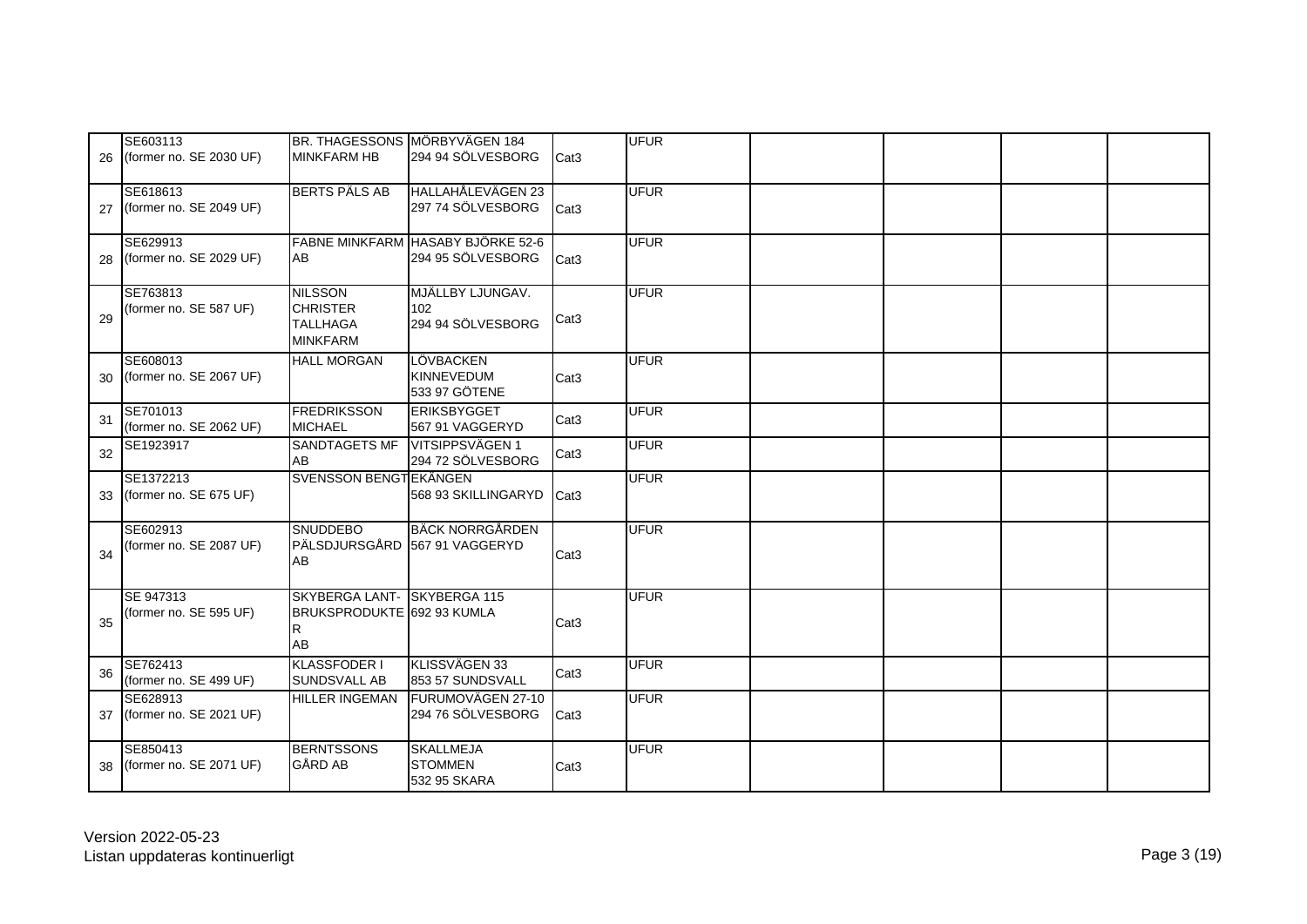|    | SE603113                |                               | BR. THAGESSONS MÖRBYVÄGEN 184     |                  | <b>UFUR</b> |  |  |
|----|-------------------------|-------------------------------|-----------------------------------|------------------|-------------|--|--|
| 26 | (former no. SE 2030 UF) | <b>MINKFARM HB</b>            | 294 94 SÖLVESBORG                 | Cat <sub>3</sub> |             |  |  |
|    |                         |                               |                                   |                  |             |  |  |
|    | SE618613                | <b>BERTS PÄLS AB</b>          | HALLAHÅLEVÄGEN 23                 |                  | <b>UFUR</b> |  |  |
|    |                         |                               | 297 74 SÖLVESBORG                 |                  |             |  |  |
| 27 | (former no. SE 2049 UF) |                               |                                   | Cat <sub>3</sub> |             |  |  |
|    |                         |                               |                                   |                  |             |  |  |
|    | SE629913                |                               | FABNE MINKFARM HASABY BJÖRKE 52-6 |                  | <b>UFUR</b> |  |  |
| 28 | (former no. SE 2029 UF) | AB                            | 294 95 SÖLVESBORG                 | Cat <sub>3</sub> |             |  |  |
|    |                         |                               |                                   |                  |             |  |  |
|    | SE763813                | <b>NILSSON</b>                | MJÄLLBY LJUNGAV.                  |                  | <b>UFUR</b> |  |  |
|    | (former no. SE 587 UF)  | <b>CHRISTER</b>               | 102                               |                  |             |  |  |
| 29 |                         | <b>TALLHAGA</b>               | 294 94 SÖLVESBORG                 | Cat <sub>3</sub> |             |  |  |
|    |                         | <b>MINKFARM</b>               |                                   |                  |             |  |  |
|    | SE608013                | <b>HALL MORGAN</b>            | LÖVBACKEN                         |                  | <b>UFUR</b> |  |  |
| 30 | (former no. SE 2067 UF) |                               | <b>KINNEVEDUM</b>                 | Cat <sub>3</sub> |             |  |  |
|    |                         |                               | 533 97 GÖTENE                     |                  |             |  |  |
|    | SE701013                | <b>FREDRIKSSON</b>            | <b>ERIKSBYGGET</b>                |                  | <b>UFUR</b> |  |  |
| 31 | (former no. SE 2062 UF) | <b>MICHAEL</b>                | 567 91 VAGGERYD                   | Cat <sub>3</sub> |             |  |  |
|    | SE1923917               | SANDTAGETS MF                 | VITSIPPSVÄGEN 1                   |                  | <b>UFUR</b> |  |  |
| 32 |                         | AB                            | 294 72 SÖLVESBORG                 | Cat <sub>3</sub> |             |  |  |
|    | SE1372213               | SVENSSON BENGTEKÄNGEN         |                                   |                  | <b>UFUR</b> |  |  |
| 33 | (former no. SE 675 UF)  |                               | 568 93 SKILLINGARYD               | Cat <sub>3</sub> |             |  |  |
|    |                         |                               |                                   |                  |             |  |  |
|    | SE602913                | <b>SNUDDEBO</b>               | <b>BÄCK NORRGÅRDEN</b>            |                  | <b>UFUR</b> |  |  |
|    | (former no. SE 2087 UF) | PÄLSDJURSGÅRD 567 91 VAGGERYD |                                   |                  |             |  |  |
| 34 |                         | AB                            |                                   | Cat <sub>3</sub> |             |  |  |
|    |                         |                               |                                   |                  |             |  |  |
|    |                         |                               |                                   |                  |             |  |  |
|    | SE 947313               | SKYBERGA LANT- SKYBERGA 115   |                                   |                  | <b>UFUR</b> |  |  |
| 35 | (former no. SE 595 UF)  | BRUKSPRODUKTE 692 93 KUMLA    |                                   | Cat <sub>3</sub> |             |  |  |
|    |                         | R                             |                                   |                  |             |  |  |
|    |                         | AB                            |                                   |                  |             |  |  |
| 36 | SE762413                | <b>KLASSFODER I</b>           | KLISSVÄGEN 33                     | Cat <sub>3</sub> | <b>UFUR</b> |  |  |
|    | (former no. SE 499 UF)  | <b>SUNDSVALL AB</b>           | 853 57 SUNDSVALL                  |                  |             |  |  |
|    | SE628913                | <b>HILLER INGEMAN</b>         | FURUMOVÄGEN 27-10                 |                  | <b>UFUR</b> |  |  |
| 37 | (former no. SE 2021 UF) |                               | 294 76 SÖLVESBORG                 | Cat <sub>3</sub> |             |  |  |
|    |                         |                               |                                   |                  |             |  |  |
|    | SE850413                | <b>BERNTSSONS</b>             | <b>SKALLMEJA</b>                  |                  | <b>UFUR</b> |  |  |
| 38 | (former no. SE 2071 UF) | <b>GÅRD AB</b>                | <b>STOMMEN</b>                    | Cat <sub>3</sub> |             |  |  |
|    |                         |                               | 532 95 SKARA                      |                  |             |  |  |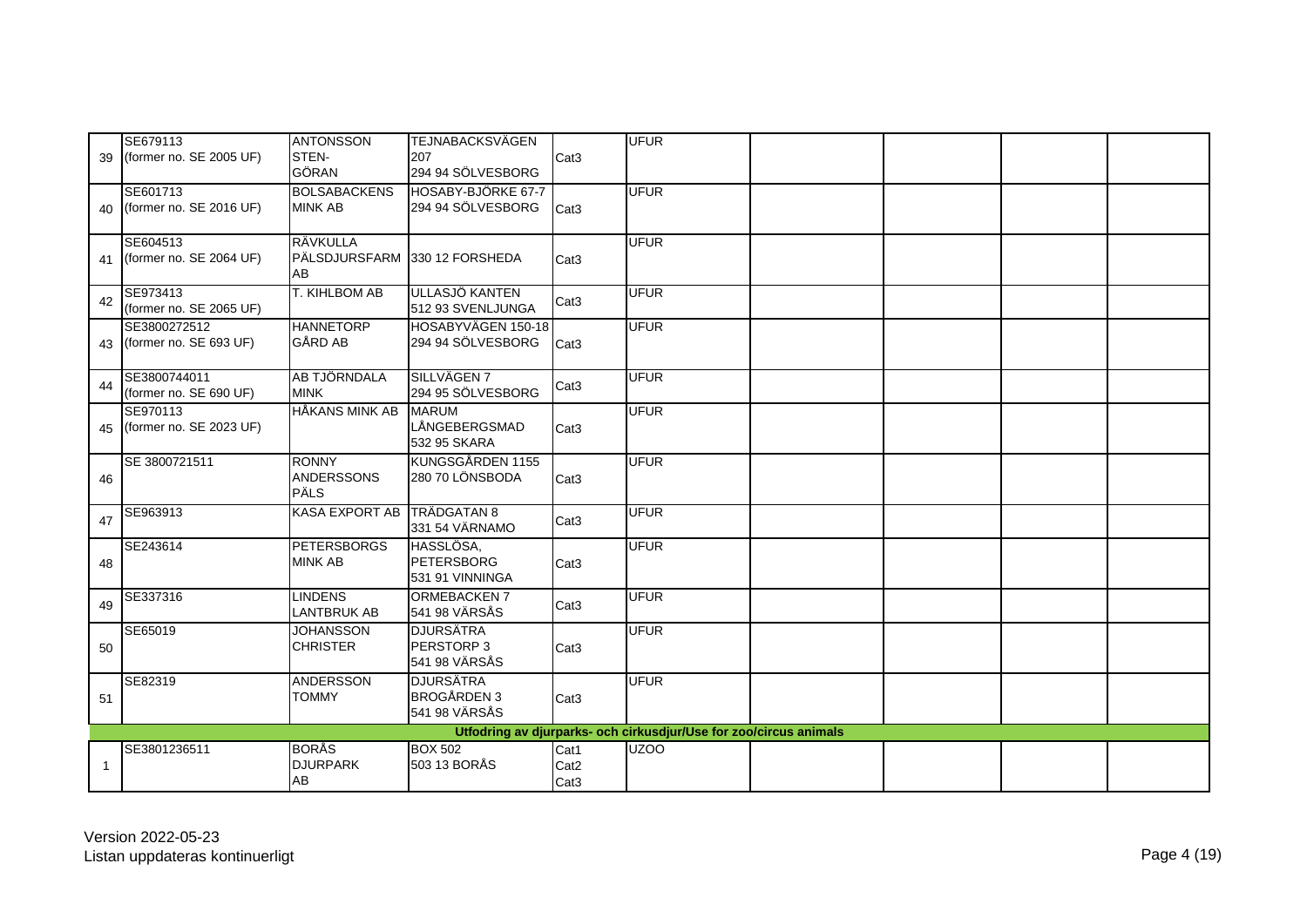|              | SE679113                   | <b>ANTONSSON</b>                 | <b>TEJNABACKSVÄGEN</b> |                  | <b>UFUR</b>                                                                           |  |  |
|--------------|----------------------------|----------------------------------|------------------------|------------------|---------------------------------------------------------------------------------------|--|--|
| 39           | (former no. SE 2005 UF)    | STEN-                            | 207                    | Cat <sub>3</sub> |                                                                                       |  |  |
|              |                            | <b>GÖRAN</b>                     | 294 94 SÖLVESBORG      |                  |                                                                                       |  |  |
|              | SE601713                   | <b>BOLSABACKENS</b>              | HOSABY-BJÖRKE 67-7     |                  | <b>UFUR</b>                                                                           |  |  |
| 40           | (former no. SE 2016 UF)    | <b>MINK AB</b>                   | 294 94 SÖLVESBORG      | Cat <sub>3</sub> |                                                                                       |  |  |
|              |                            |                                  |                        |                  |                                                                                       |  |  |
|              | SE604513                   | RÄVKULLA                         |                        |                  | <b>UFUR</b>                                                                           |  |  |
| 41           | (former no. SE 2064 UF)    | PÄLSDJURSFARM 330 12 FORSHEDA    |                        | Cat <sub>3</sub> |                                                                                       |  |  |
|              |                            | AB                               |                        |                  |                                                                                       |  |  |
|              | SE973413                   | T. KIHLBOM AB                    | ULLASJÖ KANTEN         |                  | <b>UFUR</b>                                                                           |  |  |
| 42           | (former no. SE 2065 UF)    |                                  | 512 93 SVENLJUNGA      | Cat <sub>3</sub> |                                                                                       |  |  |
|              | SE3800272512               | <b>HANNETORP</b>                 | HOSABYVÄGEN 150-18     |                  | <b>UFUR</b>                                                                           |  |  |
|              | 43 (former no. SE 693 UF)  | <b>GÅRD AB</b>                   | 294 94 SÖLVESBORG      | Cat <sub>3</sub> |                                                                                       |  |  |
|              |                            |                                  |                        |                  |                                                                                       |  |  |
|              | SE3800744011               | <b>AB TJÖRNDALA</b>              | SILLVÄGEN 7            |                  | <b>UFUR</b>                                                                           |  |  |
| 44           | (former no. SE 690 UF)     | <b>MINK</b>                      | 294 95 SÖLVESBORG      | Cat <sub>3</sub> |                                                                                       |  |  |
|              | SE970113                   | <b>HÅKANS MINK AB</b>            | <b>MARUM</b>           |                  | <b>UFUR</b>                                                                           |  |  |
|              | 45 (former no. SE 2023 UF) |                                  | LÅNGEBERGSMAD          | Cat <sub>3</sub> |                                                                                       |  |  |
|              |                            |                                  | 532 95 SKARA           |                  |                                                                                       |  |  |
|              | SE 3800721511              | <b>RONNY</b>                     | KUNGSGÅRDEN 1155       |                  | <b>UFUR</b>                                                                           |  |  |
| 46           |                            | <b>ANDERSSONS</b>                | 280 70 LÖNSBODA        | Cat <sub>3</sub> |                                                                                       |  |  |
|              |                            | <b>PÄLS</b>                      |                        |                  |                                                                                       |  |  |
|              | SE963913                   | <b>KASA EXPORT AB</b>            | <b>TRÄDGATAN 8</b>     |                  | <b>UFUR</b>                                                                           |  |  |
| 47           |                            |                                  | 331 54 VÄRNAMO         | Cat <sub>3</sub> |                                                                                       |  |  |
|              | SE243614                   | <b>PETERSBORGS</b>               | HASSLÖSA.              |                  | <b>UFUR</b>                                                                           |  |  |
| 48           |                            | <b>MINK AB</b>                   | <b>PETERSBORG</b>      | Cat <sub>3</sub> |                                                                                       |  |  |
|              |                            |                                  | 531 91 VINNINGA        |                  |                                                                                       |  |  |
|              | SE337316                   | <b>LINDENS</b>                   | <b>ORMEBACKEN 7</b>    |                  | <b>UFUR</b>                                                                           |  |  |
| 49           |                            | <b>LANTBRUK AB</b>               | 541 98 VÄRSÅS          | Cat <sub>3</sub> |                                                                                       |  |  |
|              | SE65019                    | <b>JOHANSSON</b>                 | <b>DJURSÄTRA</b>       |                  | <b>UFUR</b>                                                                           |  |  |
| 50           |                            | <b>CHRISTER</b>                  | PERSTORP 3             | Cat <sub>3</sub> |                                                                                       |  |  |
|              |                            |                                  | 541 98 VÄRSÅS          |                  |                                                                                       |  |  |
|              |                            |                                  | <b>DJURSÄTRA</b>       |                  |                                                                                       |  |  |
|              | SE82319                    | <b>ANDERSSON</b><br><b>TOMMY</b> | <b>BROGÅRDEN 3</b>     |                  | <b>UFUR</b>                                                                           |  |  |
| 51           |                            |                                  | 541 98 VÄRSÅS          | Cat <sub>3</sub> |                                                                                       |  |  |
|              |                            |                                  |                        |                  |                                                                                       |  |  |
|              |                            | <b>BORÅS</b>                     | <b>BOX 502</b>         |                  | Utfodring av djurparks- och cirkusdjur/Use for zoo/circus animals<br>UZ <sub>00</sub> |  |  |
|              | SE3801236511               | <b>DJURPARK</b>                  | 503 13 BORÅS           | Cat1             |                                                                                       |  |  |
| $\mathbf{1}$ |                            | AB                               |                        | Cat <sub>2</sub> |                                                                                       |  |  |
|              |                            |                                  |                        | Cat <sub>3</sub> |                                                                                       |  |  |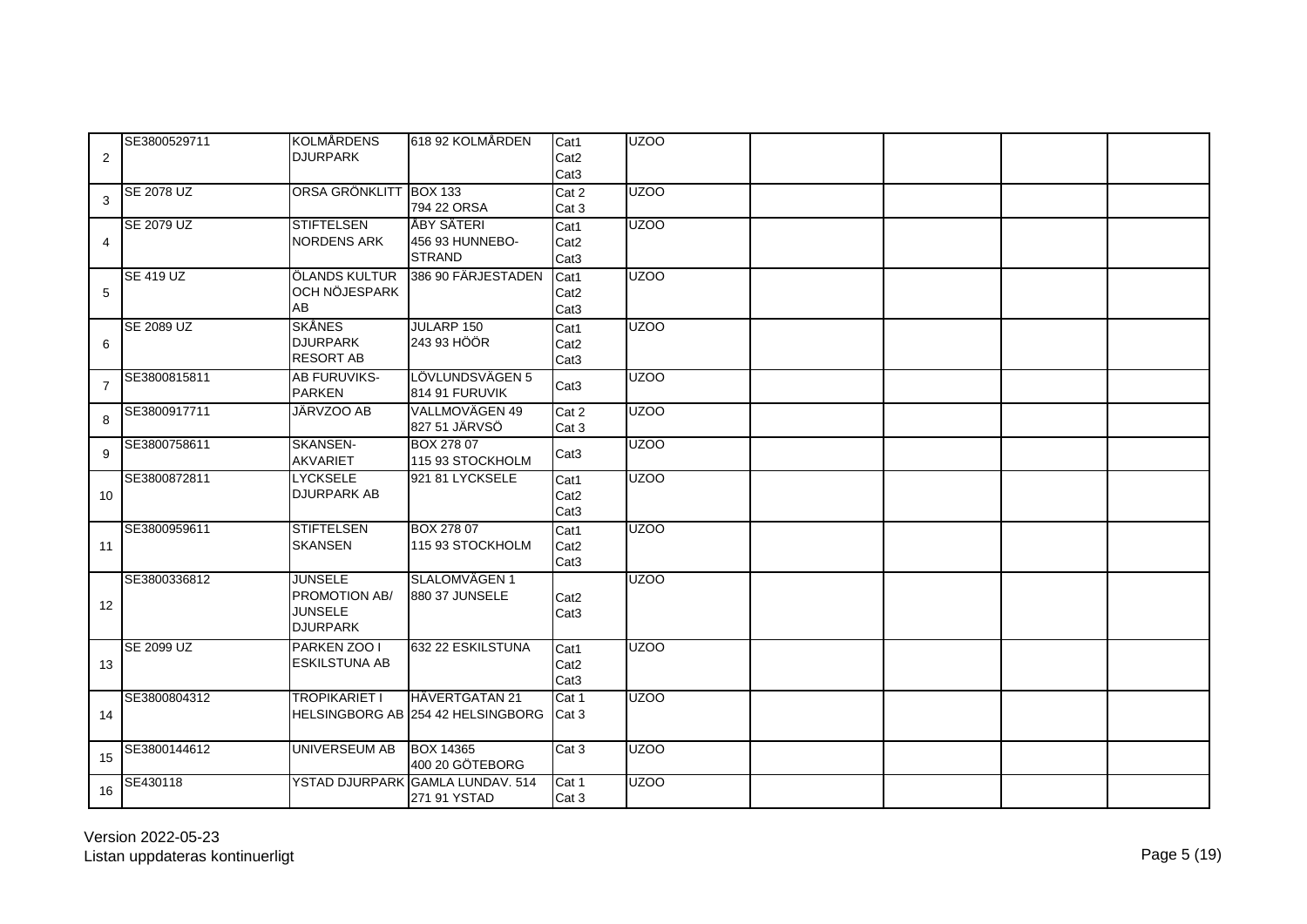| $\overline{c}$ | SE3800529711     | <b>KOLMÅRDENS</b><br><b>DJURPARK</b>                                 | 618 92 KOLMÅRDEN                                    | Cat1<br>Cat <sub>2</sub><br>Cat <sub>3</sub> | UZO <sub>O</sub> |  |  |
|----------------|------------------|----------------------------------------------------------------------|-----------------------------------------------------|----------------------------------------------|------------------|--|--|
| 3              | SE 2078 UZ       | ORSA GRÖNKLITT BOX 133                                               | 794 22 ORSA                                         | Cat 2<br>Cat 3                               | UZOO             |  |  |
| 4              | SE 2079 UZ       | <b>STIFTELSEN</b><br><b>NORDENS ARK</b>                              | ÅBY SÄTERI<br>456 93 HUNNEBO-<br><b>STRAND</b>      | Cat1<br>Cat <sub>2</sub><br>Cat <sub>3</sub> | UZOO             |  |  |
| 5              | <b>SE 419 UZ</b> | ÖLANDS KULTUR<br>OCH NÖJESPARK<br>AB                                 | 386 90 FÄRJESTADEN                                  | Cat1<br>Cat <sub>2</sub><br>Cat <sub>3</sub> | UZOO             |  |  |
| 6              | SE 2089 UZ       | <b>SKÅNES</b><br><b>DJURPARK</b><br><b>RESORT AB</b>                 | <b>JULARP 150</b><br>243 93 HÖÖR                    | Cat1<br>Cat <sub>2</sub><br>Cat <sub>3</sub> | UZO <sub>O</sub> |  |  |
| $\overline{7}$ | SE3800815811     | <b>AB FURUVIKS-</b><br><b>PARKEN</b>                                 | LÖVLUNDSVÄGEN 5<br>814 91 FURUVIK                   | Cat <sub>3</sub>                             | UZOO             |  |  |
| 8              | SE3800917711     | JÄRVZOO AB                                                           | VALLMOVÄGEN 49<br>827 51 JÄRVSÖ                     | Cat 2<br>Cat 3                               | UZOO             |  |  |
| 9              | SE3800758611     | <b>SKANSEN-</b><br><b>AKVARIET</b>                                   | <b>BOX 278 07</b><br>115 93 STOCKHOLM               | Cat <sub>3</sub>                             | UZOO             |  |  |
| 10             | SE3800872811     | <b>LYCKSELE</b><br><b>DJURPARK AB</b>                                | 921 81 LYCKSELE                                     | Cat1<br>Cat <sub>2</sub><br>Cat <sub>3</sub> | UZOO             |  |  |
| 11             | SE3800959611     | <b>STIFTELSEN</b><br><b>SKANSEN</b>                                  | <b>BOX 278 07</b><br>115 93 STOCKHOLM               | Cat1<br>Cat <sub>2</sub><br>Cat <sub>3</sub> | UZOO             |  |  |
| 12             | SE3800336812     | <b>JUNSELE</b><br>PROMOTION AB/<br><b>JUNSELE</b><br><b>DJURPARK</b> | SLALOMVÄGEN 1<br>880 37 JUNSELE                     | Cat <sub>2</sub><br>Cat <sub>3</sub>         | <b>UZOO</b>      |  |  |
| 13             | SE 2099 UZ       | PARKEN ZOO I<br><b>ESKILSTUNA AB</b>                                 | 632 22 ESKILSTUNA                                   | Cat1<br>Cat <sub>2</sub><br>Cat <sub>3</sub> | <b>UZOO</b>      |  |  |
| 14             | SE3800804312     | TROPIKARIET I                                                        | HÄVERTGATAN 21<br>HELSINGBORG AB 254 42 HELSINGBORG | Cat 1<br>Cat 3                               | <b>UZOO</b>      |  |  |
| 15             | SE3800144612     | UNIVERSEUM AB                                                        | <b>BOX 14365</b><br>400 20 GÖTEBORG                 | Cat 3                                        | <b>UZOO</b>      |  |  |
| 16             | SE430118         |                                                                      | YSTAD DJURPARK GAMLA LUNDAV. 514<br>271 91 YSTAD    | Cat 1<br>Cat 3                               | <b>UZOO</b>      |  |  |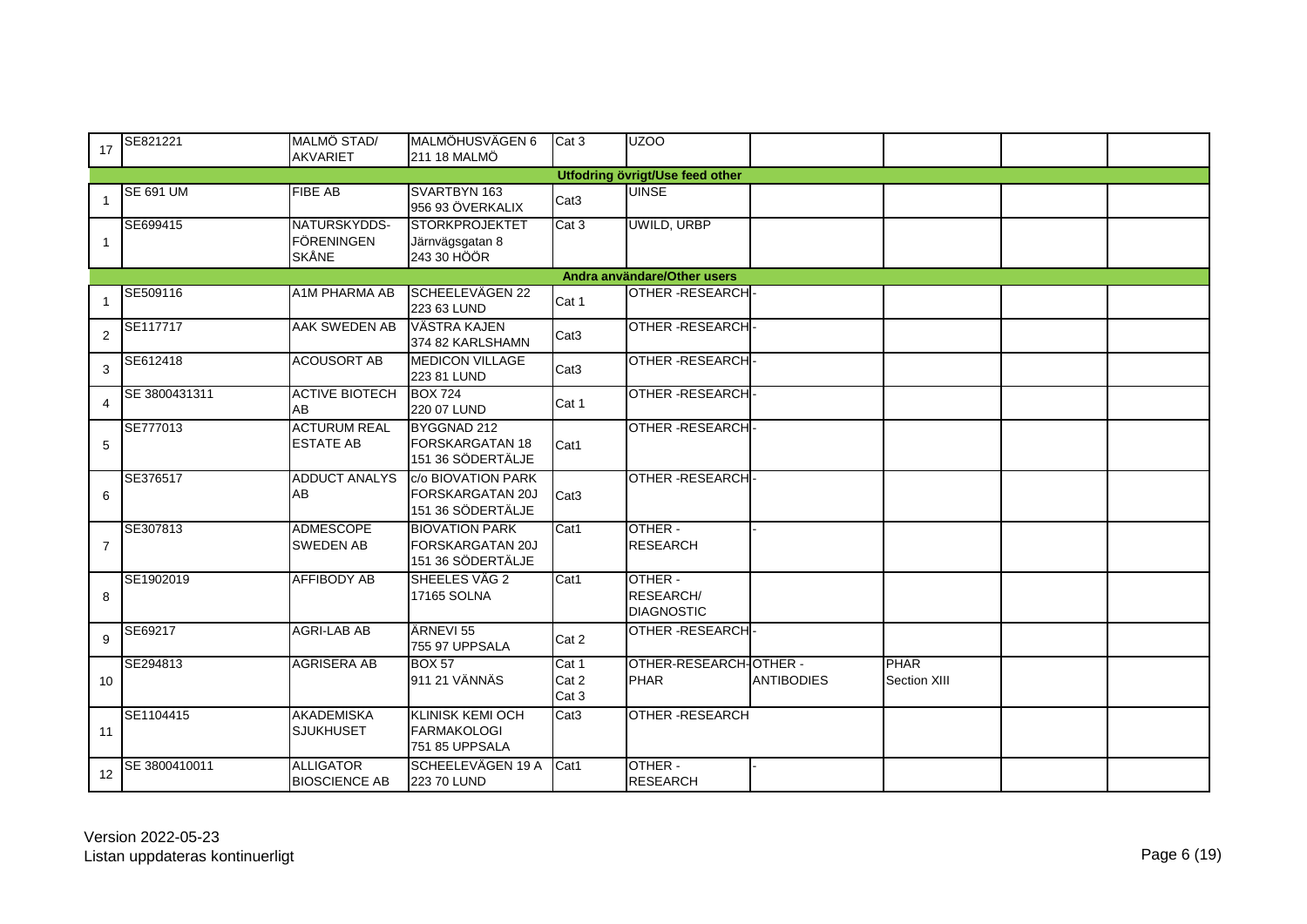| 17             | SE821221         | MALMÖ STAD/<br><b>AKVARIET</b>                    | MALMÖHUSVÄGEN 6<br>211 18 MALMÖ                                       | Cat 3                    | <b>UZOO</b>                               |                   |                      |  |
|----------------|------------------|---------------------------------------------------|-----------------------------------------------------------------------|--------------------------|-------------------------------------------|-------------------|----------------------|--|
|                |                  |                                                   |                                                                       |                          | <b>Utfodring övrigt/Use feed other</b>    |                   |                      |  |
| $\overline{1}$ | <b>SE 691 UM</b> | <b>FIBE AB</b>                                    | SVARTBYN 163<br>956 93 ÖVERKALIX                                      | Cat <sub>3</sub>         | <b>UINSE</b>                              |                   |                      |  |
| $\overline{1}$ | SE699415         | NATURSKYDDS-<br><b>FÖRENINGEN</b><br><b>SKÅNE</b> | <b>STORKPROJEKTET</b><br>Järnvägsgatan 8<br>243 30 HÖÖR               | Cat 3                    | UWILD, URBP                               |                   |                      |  |
|                |                  |                                                   |                                                                       |                          | Andra användare/Other users               |                   |                      |  |
| -1             | SE509116         | A1M PHARMA AB                                     | SCHEELEVÄGEN 22<br>223 63 LUND                                        | Cat 1                    | <b>OTHER-RESEARCH</b>                     |                   |                      |  |
| $\overline{2}$ | SE117717         | AAK SWEDEN AB                                     | VÄSTRA KAJEN<br>374 82 KARLSHAMN                                      | Cat <sub>3</sub>         | <b>OTHER-RESEARCH</b>                     |                   |                      |  |
| 3              | SE612418         | <b>ACOUSORT AB</b>                                | <b>MEDICON VILLAGE</b><br>223 81 LUND                                 | Cat <sub>3</sub>         | <b>OTHER-RESEARCH</b>                     |                   |                      |  |
| $\overline{4}$ | SE 3800431311    | <b>ACTIVE BIOTECH</b><br>AB                       | <b>BOX 724</b><br>220 07 LUND                                         | Cat 1                    | <b>OTHER-RESEARCH</b>                     |                   |                      |  |
| 5              | SE777013         | <b>ACTURUM REAL</b><br><b>ESTATE AB</b>           | BYGGNAD 212<br><b>FORSKARGATAN 18</b><br>151 36 SÖDERTÄLJE            | Cat1                     | <b>OTHER-RESEARCH</b>                     |                   |                      |  |
| 6              | SE376517         | <b>ADDUCT ANALYS</b><br>AB                        | c/o BIOVATION PARK<br><b>FORSKARGATAN 20J</b><br>151 36 SÖDERTÄLJE    | Cat <sub>3</sub>         | <b>OTHER-RESEARCH</b>                     |                   |                      |  |
| $\overline{7}$ | SE307813         | <b>ADMESCOPE</b><br><b>SWEDEN AB</b>              | <b>BIOVATION PARK</b><br><b>FORSKARGATAN 20J</b><br>151 36 SÖDERTÄLJE | $\overline{\text{Cat}1}$ | OTHER -<br><b>RESEARCH</b>                |                   |                      |  |
| 8              | SE1902019        | <b>AFFIBODY AB</b>                                | SHEELES VÄG 2<br>17165 SOLNA                                          | Cat1                     | OTHER -<br>RESEARCH/<br><b>DIAGNOSTIC</b> |                   |                      |  |
| 9              | SE69217          | <b>AGRI-LAB AB</b>                                | ÄRNEVI 55<br>755 97 UPPSALA                                           | Cat 2                    | <b>OTHER-RESEARCH</b>                     |                   |                      |  |
| 10             | SE294813         | <b>AGRISERA AB</b>                                | <b>BOX 57</b><br>911 21 VÄNNÄS                                        | Cat 1<br>Cat 2<br>Cat 3  | OTHER-RESEARCH-OTHER -<br><b>PHAR</b>     | <b>ANTIBODIES</b> | PHAR<br>Section XIII |  |
| 11             | SE1104415        | <b>AKADEMISKA</b><br><b>SJUKHUSET</b>             | <b>KLINISK KEMI OCH</b><br><b>FARMAKOLOGI</b><br>751 85 UPPSALA       | Cat <sub>3</sub>         | <b>OTHER-RESEARCH</b>                     |                   |                      |  |
| 12             | SE 3800410011    | <b>ALLIGATOR</b><br><b>BIOSCIENCE AB</b>          | SCHEELEVÄGEN 19 A<br><b>223 70 LUND</b>                               | Cat1                     | OTHER -<br><b>RESEARCH</b>                |                   |                      |  |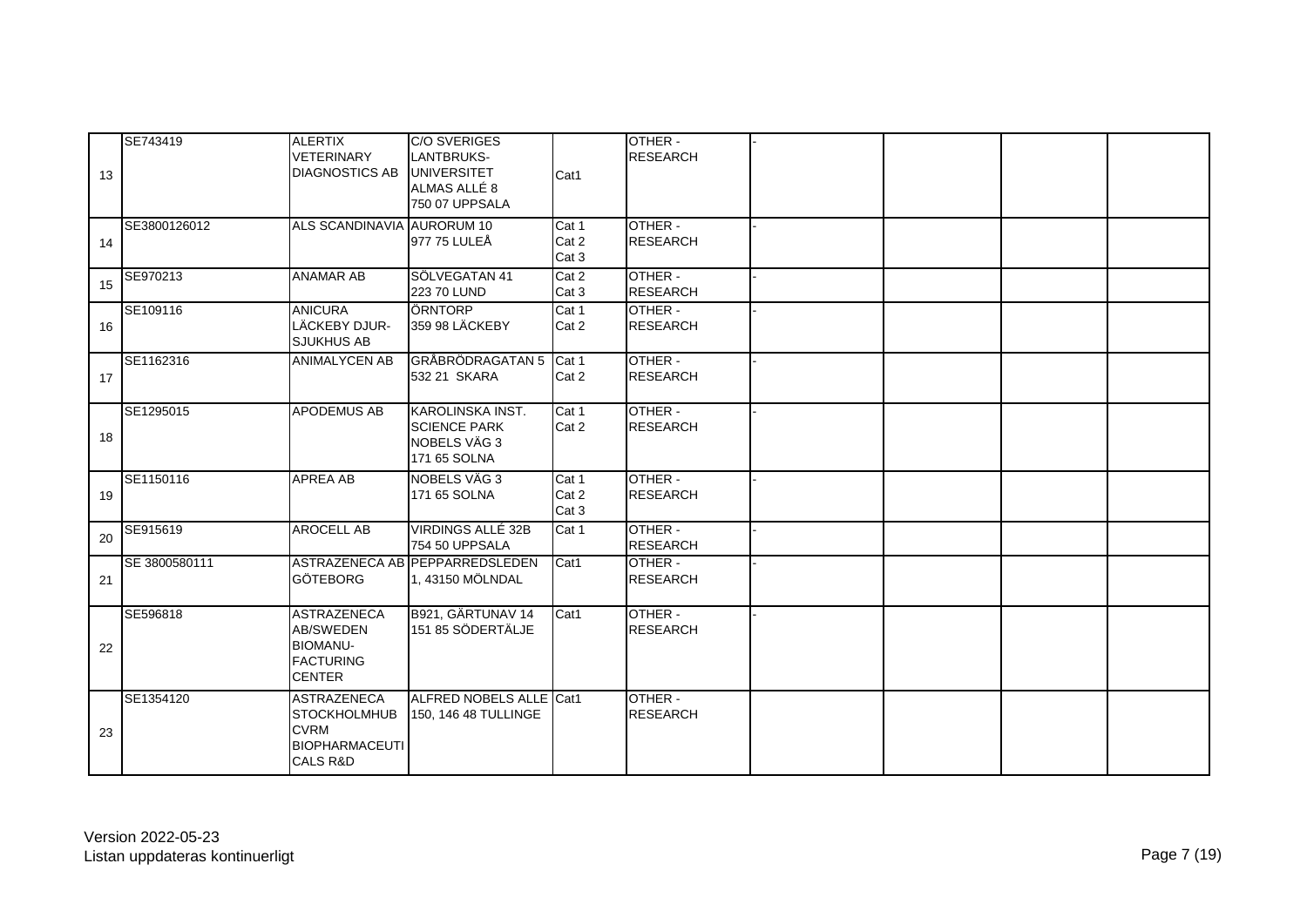| 13 | SE743419      | <b>ALERTIX</b><br><b>VETERINARY</b><br><b>DIAGNOSTICS AB</b>                                             | C/O SVERIGES<br>LANTBRUKS-<br><b>UNIVERSITET</b><br>ALMAS ALLÉ 8<br>750 07 UPPSALA | Cat1                    | OTHER -<br><b>RESEARCH</b> |  |  |
|----|---------------|----------------------------------------------------------------------------------------------------------|------------------------------------------------------------------------------------|-------------------------|----------------------------|--|--|
| 14 | SE3800126012  | ALS SCANDINAVIA AURORUM 10                                                                               | 977 75 LULEÅ                                                                       | Cat 1<br>Cat 2<br>Cat 3 | OTHER -<br><b>RESEARCH</b> |  |  |
| 15 | SE970213      | <b>ANAMAR AB</b>                                                                                         | SÖLVEGATAN 41<br>223 70 LUND                                                       | Cat 2<br>Cat 3          | OTHER -<br><b>RESEARCH</b> |  |  |
| 16 | SE109116      | <b>ANICURA</b><br>LÄCKEBY DJUR-<br><b>SJUKHUS AB</b>                                                     | ÖRNTORP<br>359 98 LÄCKEBY                                                          | Cat 1<br>Cat 2          | OTHER -<br><b>RESEARCH</b> |  |  |
| 17 | SE1162316     | <b>ANIMALYCEN AB</b>                                                                                     | <b>GRÅBRÖDRAGATAN 5</b><br>532 21 SKARA                                            | Cat 1<br>Cat 2          | OTHER -<br><b>RESEARCH</b> |  |  |
| 18 | SE1295015     | <b>APODEMUS AB</b>                                                                                       | KAROLINSKA INST.<br><b>SCIENCE PARK</b><br>NOBELS VÄG 3<br>171 65 SOLNA            | Cat 1<br>Cat 2          | OTHER -<br><b>RESEARCH</b> |  |  |
| 19 | SE1150116     | <b>APREA AB</b>                                                                                          | NOBELS VÄG 3<br>171 65 SOLNA                                                       | Cat 1<br>Cat 2<br>Cat 3 | OTHER -<br><b>RESEARCH</b> |  |  |
| 20 | SE915619      | <b>AROCELL AB</b>                                                                                        | VIRDINGS ALLÉ 32B<br>754 50 UPPSALA                                                | Cat 1                   | OTHER -<br><b>RESEARCH</b> |  |  |
| 21 | SE 3800580111 | <b>GÖTEBORG</b>                                                                                          | ASTRAZENECA AB PEPPARREDSLEDEN<br>1, 43150 MÖLNDAL                                 | Cat1                    | OTHER -<br><b>RESEARCH</b> |  |  |
| 22 | SE596818      | <b>ASTRAZENECA</b><br><b>AB/SWEDEN</b><br><b>BIOMANU-</b><br><b>FACTURING</b><br><b>CENTER</b>           | B921, GÄRTUNAV 14<br>151 85 SÖDERTÄLJE                                             | Cat1                    | OTHER -<br><b>RESEARCH</b> |  |  |
| 23 | SE1354120     | <b>ASTRAZENECA</b><br><b>STOCKHOLMHUB</b><br><b>CVRM</b><br><b>BIOPHARMACEUTI</b><br><b>CALS R&amp;D</b> | ALFRED NOBELS ALLE Cat1<br>150, 146 48 TULLINGE                                    |                         | OTHER -<br><b>RESEARCH</b> |  |  |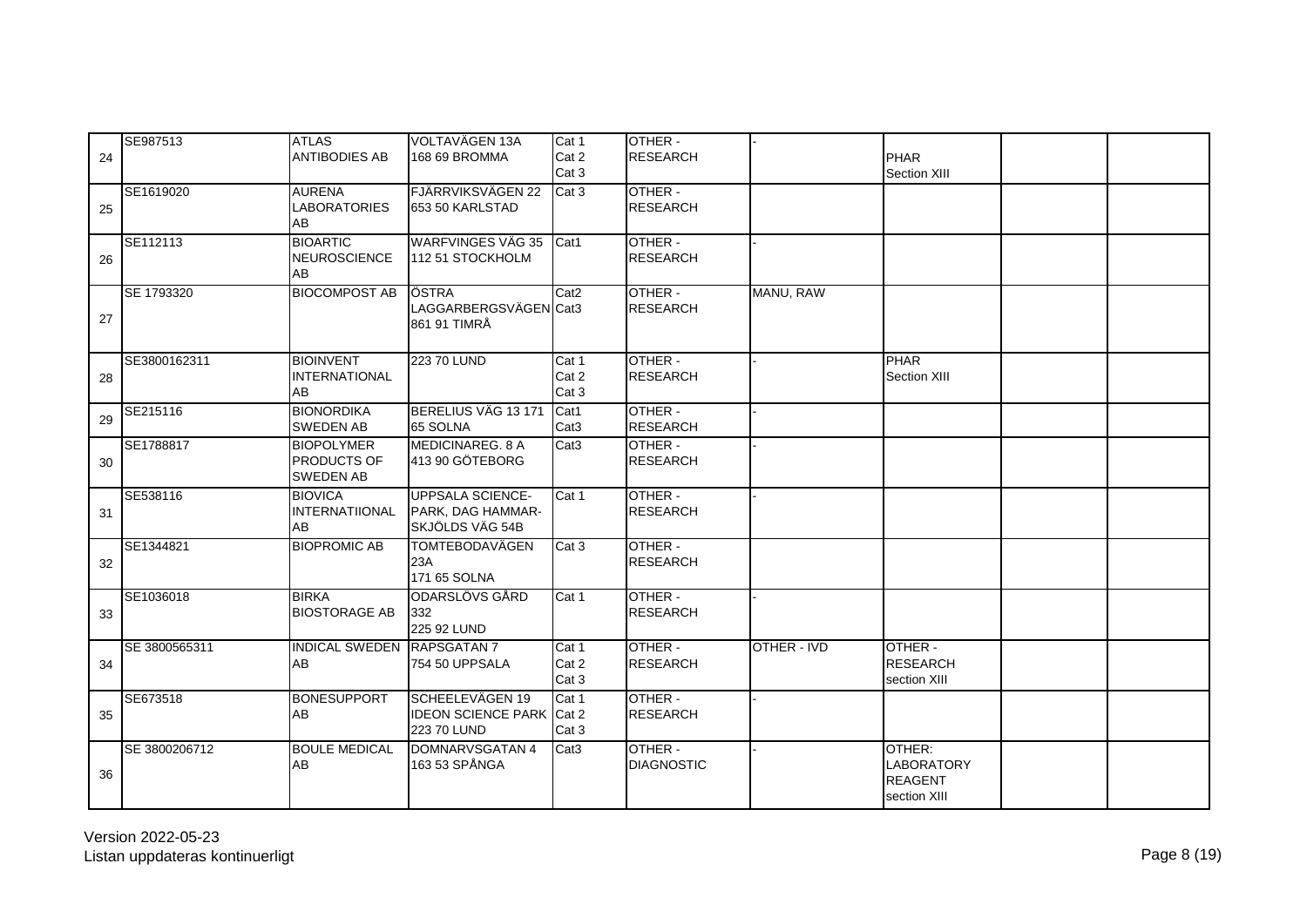| 24 | SE987513      | <b>ATLAS</b><br><b>ANTIBODIES AB</b>                 | VOLTAVÄGEN 13A<br>168 69 BROMMA                                            | Cat 1<br>Cat 2<br>Cat 3   | OTHER -<br><b>RESEARCH</b>   |             | PHAR<br>Section XIII                                          |  |
|----|---------------|------------------------------------------------------|----------------------------------------------------------------------------|---------------------------|------------------------------|-------------|---------------------------------------------------------------|--|
| 25 | SE1619020     | <b>AURENA</b><br><b>LABORATORIES</b><br>AB           | FJÄRRVIKSVÄGEN 22<br>653 50 KARLSTAD                                       | $\overline{\text{Cat }3}$ | OTHER -<br><b>RESEARCH</b>   |             |                                                               |  |
| 26 | SE112113      | <b>BIOARTIC</b><br>NEUROSCIENCE<br>AB                | <b>WARFVINGES VÄG 35</b><br>112 51 STOCKHOLM                               | Cat1                      | OTHER -<br><b>RESEARCH</b>   |             |                                                               |  |
| 27 | SE 1793320    | <b>BIOCOMPOST AB</b>                                 | <b>OSTRA</b><br>LAGGARBERGSVÄGEN Cat3<br>861 91 TIMRÅ                      | Cat2                      | OTHER -<br><b>RESEARCH</b>   | MANU, RAW   |                                                               |  |
| 28 | SE3800162311  | <b>BIOINVENT</b><br><b>INTERNATIONAL</b><br>AB       | 223 70 LUND                                                                | Cat 1<br>Cat 2<br>Cat 3   | OTHER -<br><b>RESEARCH</b>   |             | <b>PHAR</b><br>Section XIII                                   |  |
| 29 | SE215116      | <b>BIONORDIKA</b><br><b>SWEDEN AB</b>                | BERELIUS VÄG 13 171<br>65 SOLNA                                            | Cat1<br>Cat <sub>3</sub>  | OTHER -<br><b>RESEARCH</b>   |             |                                                               |  |
| 30 | SE1788817     | <b>BIOPOLYMER</b><br>PRODUCTS OF<br><b>SWEDEN AB</b> | MEDICINAREG. 8 A<br>413 90 GÖTEBORG                                        | Cat <sub>3</sub>          | OTHER -<br><b>RESEARCH</b>   |             |                                                               |  |
| 31 | SE538116      | <b>BIOVICA</b><br>INTERNATIIONAL<br>AB               | <b>UPPSALA SCIENCE-</b><br>PARK, DAG HAMMAR-<br>SKJÖLDS VÄG 54B            | Cat 1                     | OTHER -<br><b>RESEARCH</b>   |             |                                                               |  |
| 32 | SE1344821     | <b>BIOPROMIC AB</b>                                  | <b>TOMTEBODAVÄGEN</b><br>23A<br>171 65 SOLNA                               | Cat 3                     | OTHER -<br><b>RESEARCH</b>   |             |                                                               |  |
| 33 | SE1036018     | <b>BIRKA</b><br><b>BIOSTORAGE AB</b>                 | ODARSLÖVS GÅRD<br>332<br>225 92 LUND                                       | Cat 1                     | OTHER -<br><b>RESEARCH</b>   |             |                                                               |  |
| 34 | SE 3800565311 | INDICAL SWEDEN RAPSGATAN 7<br>AB                     | 754 50 UPPSALA                                                             | Cat 1<br>Cat 2<br>Cat 3   | OTHER -<br><b>RESEARCH</b>   | OTHER - IVD | OTHER -<br><b>RESEARCH</b><br>section XIII                    |  |
| 35 | SE673518      | <b>BONESUPPORT</b><br>AB                             | <b>I</b> SCHEELEVÄGEN 19<br><b>IDEON SCIENCE PARK Cat 2</b><br>223 70 LUND | Cat 1<br>Cat 3            | OTHER -<br><b>RESEARCH</b>   |             |                                                               |  |
| 36 | SE 3800206712 | <b>BOULE MEDICAL</b><br>AB                           | DOMNARVSGATAN 4<br>163 53 SPÅNGA                                           | Cat <sub>3</sub>          | OTHER -<br><b>DIAGNOSTIC</b> |             | OTHER:<br><b>LABORATORY</b><br><b>REAGENT</b><br>section XIII |  |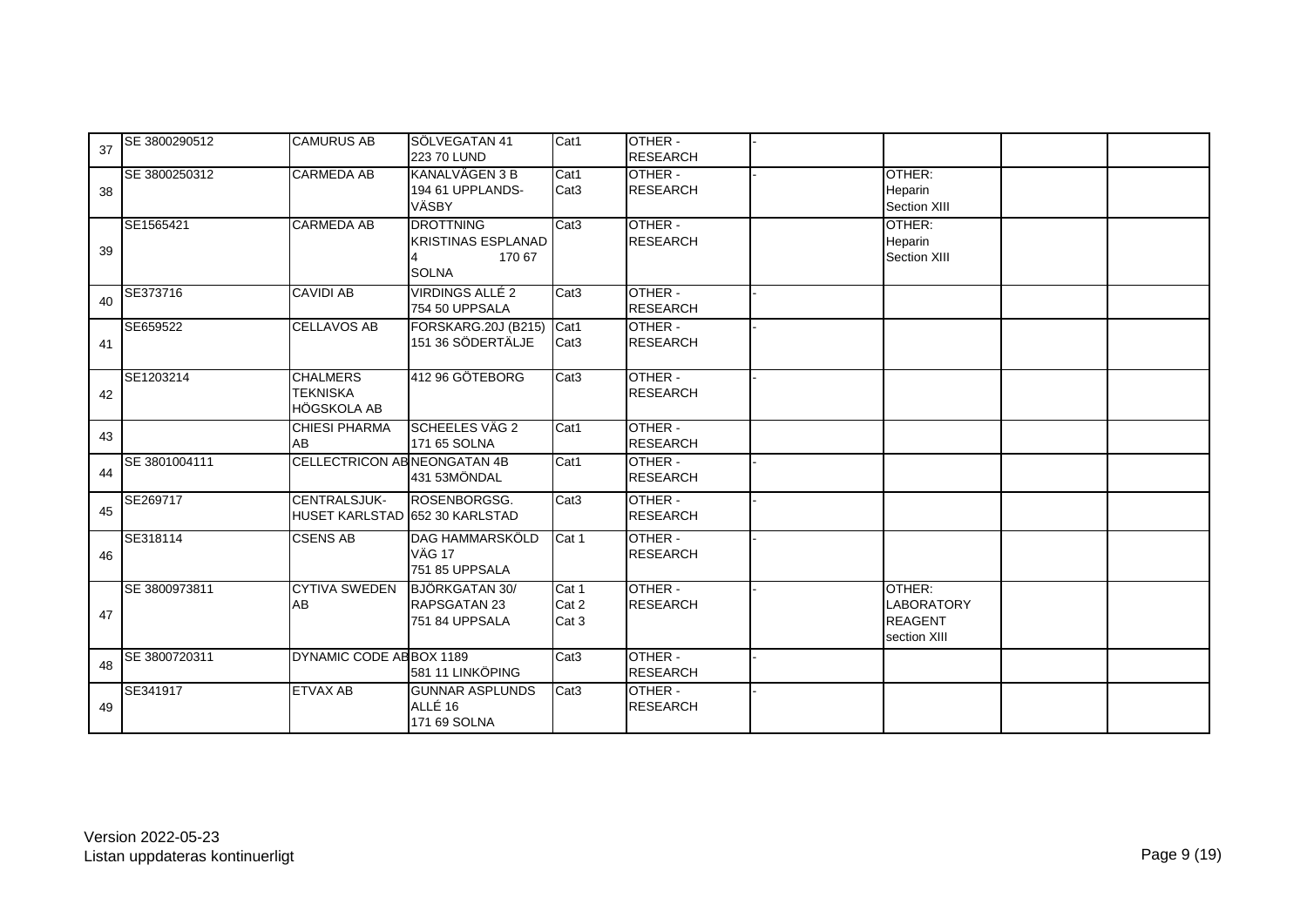| 37 | SE 3800290512 | <b>CAMURUS AB</b>                                 | SÖLVEGATAN 41<br>223 70 LUND                                            | Cat1                     | OTHER -<br><b>RESEARCH</b> |                                                               |  |
|----|---------------|---------------------------------------------------|-------------------------------------------------------------------------|--------------------------|----------------------------|---------------------------------------------------------------|--|
| 38 | SE 3800250312 | <b>CARMEDA AB</b>                                 | KANALVÄGEN 3 B<br>194 61 UPPLANDS-<br><b>VÄSBY</b>                      | Cat1<br>Cat <sub>3</sub> | OTHER -<br><b>RESEARCH</b> | OTHER:<br>Heparin<br>Section XIII                             |  |
| 39 | SE1565421     | <b>CARMEDA AB</b>                                 | <b>DROTTNING</b><br><b>KRISTINAS ESPLANAD</b><br>170 67<br><b>SOLNA</b> | Cat <sub>3</sub>         | OTHER -<br><b>RESEARCH</b> | OTHER:<br>Heparin<br>Section XIII                             |  |
| 40 | SE373716      | <b>CAVIDI AB</b>                                  | <b>VIRDINGS ALLÉ 2</b><br>754 50 UPPSALA                                | Cat <sub>3</sub>         | OTHER -<br><b>RESEARCH</b> |                                                               |  |
| 41 | SE659522      | <b>CELLAVOS AB</b>                                | FORSKARG.20J (B215)<br>151 36 SÖDERTÄLJE                                | Cat1<br>Cat <sub>3</sub> | OTHER -<br><b>RESEARCH</b> |                                                               |  |
| 42 | SE1203214     | <b>CHALMERS</b><br><b>TEKNISKA</b><br>HÖGSKOLA AB | 412 96 GÖTEBORG                                                         | Cat <sub>3</sub>         | OTHER -<br><b>RESEARCH</b> |                                                               |  |
| 43 |               | <b>CHIESI PHARMA</b><br>AB                        | <b>SCHEELES VÄG 2</b><br>171 65 SOLNA                                   | Cat1                     | OTHER -<br><b>RESEARCH</b> |                                                               |  |
| 44 | SE 3801004111 | <b>CELLECTRICON AB NEONGATAN 4B</b>               | 431 53MÖNDAL                                                            | Cat1                     | OTHER -<br><b>RESEARCH</b> |                                                               |  |
| 45 | SE269717      | CENTRALSJUK-<br>HUSET KARLSTAD 652 30 KARLSTAD    | ROSENBORGSG.                                                            | Cat <sub>3</sub>         | OTHER -<br><b>RESEARCH</b> |                                                               |  |
| 46 | SE318114      | <b>CSENS AB</b>                                   | DAG HAMMARSKÖLD<br><b>VÄG 17</b><br>751 85 UPPSALA                      | Cat 1                    | OTHER -<br><b>RESEARCH</b> |                                                               |  |
| 47 | SE 3800973811 | <b>CYTIVA SWEDEN</b><br>AB                        | <b>BJÖRKGATAN 30/</b><br>RAPSGATAN 23<br>751 84 UPPSALA                 | Cat 1<br>Cat 2<br>Cat 3  | OTHER -<br><b>RESEARCH</b> | OTHER:<br><b>LABORATORY</b><br><b>REAGENT</b><br>section XIII |  |
| 48 | SE 3800720311 | DYNAMIC CODE AB BOX 1189                          | 581 11 LINKÖPING                                                        | Cat <sub>3</sub>         | OTHER -<br><b>RESEARCH</b> |                                                               |  |
| 49 | SE341917      | <b>ETVAX AB</b>                                   | <b>GUNNAR ASPLUNDS</b><br>ALLÉ 16<br>171 69 SOLNA                       | Cat <sub>3</sub>         | OTHER -<br><b>RESEARCH</b> |                                                               |  |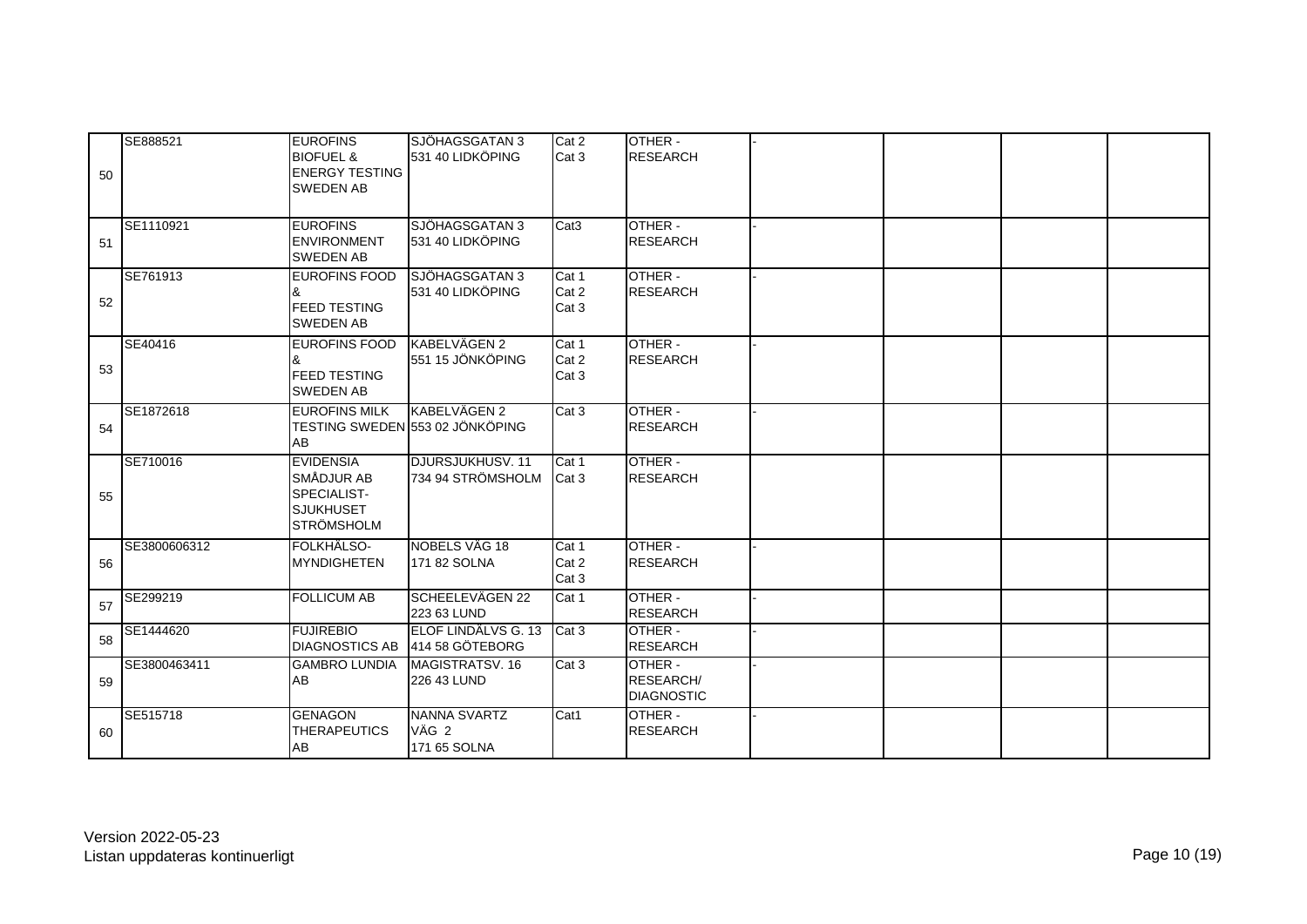| 50 | SE888521     | <b>EUROFINS</b><br><b>BIOFUEL &amp;</b><br><b>ENERGY TESTING</b><br><b>SWEDEN AB</b>   | SJÖHAGSGATAN 3<br>531 40 LIDKÖPING              | Cat 2<br>Cat 3          | OTHER -<br><b>RESEARCH</b>                       |  |  |
|----|--------------|----------------------------------------------------------------------------------------|-------------------------------------------------|-------------------------|--------------------------------------------------|--|--|
| 51 | SE1110921    | <b>EUROFINS</b><br><b>ENVIRONMENT</b><br><b>SWEDEN AB</b>                              | SJÖHAGSGATAN 3<br>531 40 LIDKÖPING              | Cat <sub>3</sub>        | OTHER -<br><b>RESEARCH</b>                       |  |  |
| 52 | SE761913     | <b>EUROFINS FOOD</b><br>&<br><b>FEED TESTING</b><br><b>SWEDEN AB</b>                   | SJÖHAGSGATAN 3<br>531 40 LIDKÖPING              | Cat 1<br>Cat 2<br>Cat 3 | OTHER -<br><b>RESEARCH</b>                       |  |  |
| 53 | SE40416      | <b>EUROFINS FOOD</b><br>&<br><b>FEED TESTING</b><br><b>SWEDEN AB</b>                   | KABELVÄGEN 2<br>551 15 JÖNKÖPING                | Cat 1<br>Cat 2<br>Cat 3 | OTHER -<br><b>RESEARCH</b>                       |  |  |
| 54 | SE1872618    | <b>EUROFINS MILK</b><br>AB                                                             | KABELVÄGEN 2<br>TESTING SWEDEN 553 02 JÖNKÖPING | Cat 3                   | OTHER -<br><b>RESEARCH</b>                       |  |  |
| 55 | SE710016     | <b>EVIDENSIA</b><br>SMÅDJUR AB<br>SPECIALIST-<br><b>SJUKHUSET</b><br><b>STRÖMSHOLM</b> | DJURSJUKHUSV, 11<br>734 94 STRÖMSHOLM           | Cat 1<br>Cat 3          | OTHER -<br><b>RESEARCH</b>                       |  |  |
| 56 | SE3800606312 | FOLKHÄLSO-<br><b>MYNDIGHETEN</b>                                                       | NOBELS VÄG 18<br>171 82 SOLNA                   | Cat 1<br>Cat 2<br>Cat 3 | OTHER -<br><b>RESEARCH</b>                       |  |  |
| 57 | SE299219     | <b>FOLLICUM AB</b>                                                                     | SCHEELEVÄGEN 22<br>223 63 LUND                  | Cat 1                   | OTHER -<br><b>RESEARCH</b>                       |  |  |
| 58 | SE1444620    | <b>FUJIREBIO</b><br><b>DIAGNOSTICS AB</b>                                              | ELOF LINDÄLVS G. 13<br>414 58 GÖTEBORG          | Cat 3                   | OTHER -<br><b>RESEARCH</b>                       |  |  |
| 59 | SE3800463411 | <b>GAMBRO LUNDIA</b><br>AB                                                             | MAGISTRATSV. 16<br>226 43 LUND                  | Cat 3                   | OTHER -<br><b>RESEARCH/</b><br><b>DIAGNOSTIC</b> |  |  |
| 60 | SE515718     | <b>GENAGON</b><br><b>THERAPEUTICS</b><br>AB                                            | NANNA SVARTZ<br>VÄG 2<br>171 65 SOLNA           | Cat1                    | OTHER -<br><b>RESEARCH</b>                       |  |  |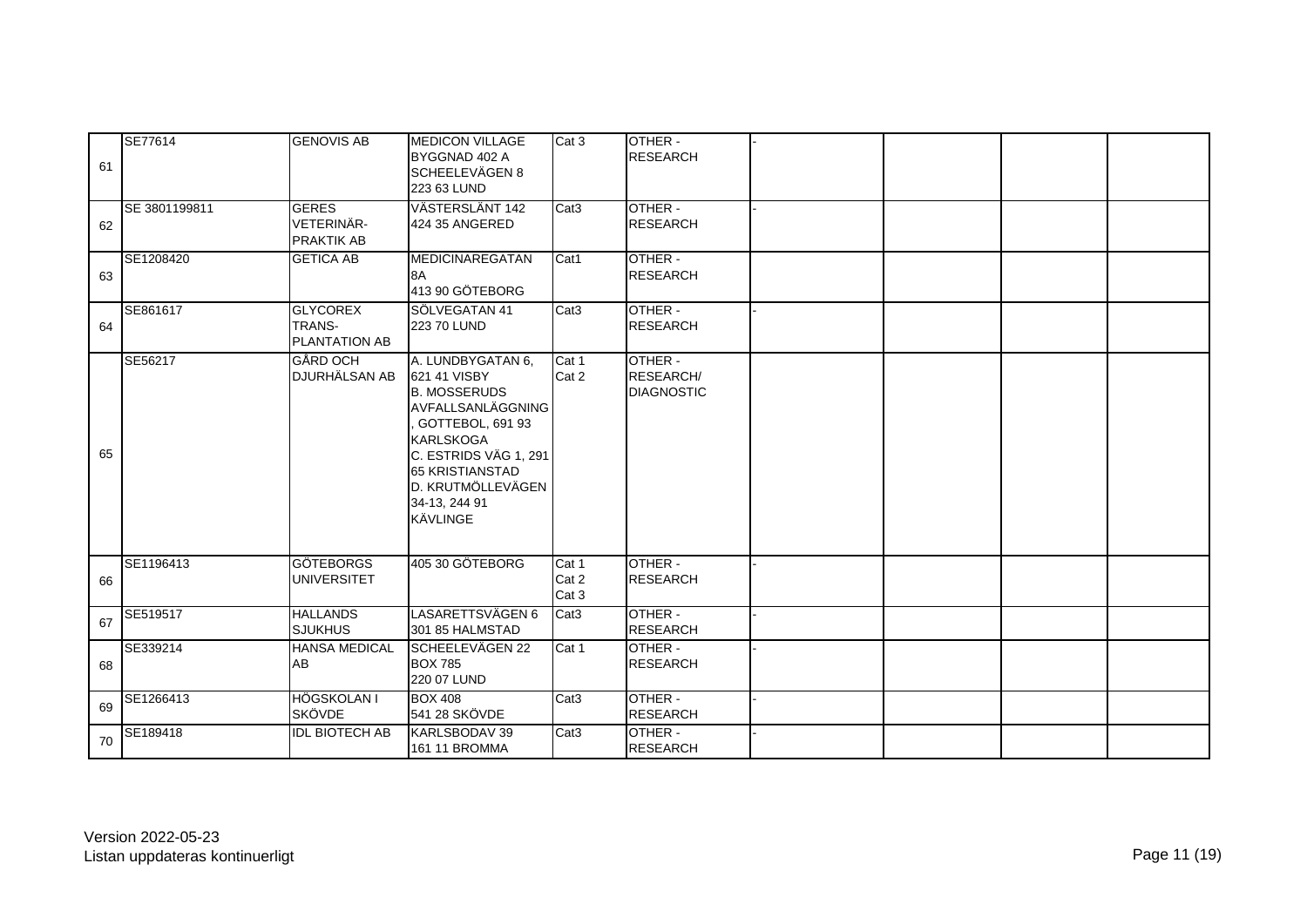| 61 | SE77614       | <b>GENOVIS AB</b>                                 | <b>MEDICON VILLAGE</b><br>BYGGNAD 402 A<br>SCHEELEVÄGEN 8<br>223 63 LUND                                                                                                                                                   | Cat 3                   | OTHER -<br><b>RESEARCH</b>                |  |  |
|----|---------------|---------------------------------------------------|----------------------------------------------------------------------------------------------------------------------------------------------------------------------------------------------------------------------------|-------------------------|-------------------------------------------|--|--|
| 62 | SE 3801199811 | <b>GERES</b><br>VETERINÄR-<br><b>PRAKTIK AB</b>   | VÄSTERSLÄNT 142<br>424 35 ANGERED                                                                                                                                                                                          | Cat <sub>3</sub>        | OTHER -<br><b>RESEARCH</b>                |  |  |
| 63 | SE1208420     | <b>GETICA AB</b>                                  | <b>MEDICINAREGATAN</b><br>8A<br>413 90 GÖTEBORG                                                                                                                                                                            | Cat1                    | OTHER -<br><b>RESEARCH</b>                |  |  |
| 64 | SE861617      | <b>GLYCOREX</b><br><b>TRANS-</b><br>PLANTATION AB | SÖLVEGATAN 41<br>223 70 LUND                                                                                                                                                                                               | Cat <sub>3</sub>        | OTHER -<br><b>RESEARCH</b>                |  |  |
| 65 | SE56217       | GÅRD OCH<br>DJURHÄLSAN AB                         | A. LUNDBYGATAN 6,<br>621 41 VISBY<br><b>B. MOSSERUDS</b><br>AVFALLSANLÄGGNING<br>GOTTEBOL, 691 93<br><b>KARLSKOGA</b><br>C. ESTRIDS VÄG 1, 291<br><b>65 KRISTIANSTAD</b><br>D. KRUTMÖLLEVÄGEN<br>34-13, 244 91<br>KÄVLINGE | Cat 1<br>Cat 2          | OTHER -<br>RESEARCH/<br><b>DIAGNOSTIC</b> |  |  |
| 66 | SE1196413     | <b>GÖTEBORGS</b><br><b>UNIVERSITET</b>            | 405 30 GÖTEBORG                                                                                                                                                                                                            | Cat 1<br>Cat 2<br>Cat 3 | OTHER -<br><b>RESEARCH</b>                |  |  |
| 67 | SE519517      | <b>HALLANDS</b><br><b>SJUKHUS</b>                 | LASARETTSVÄGEN 6<br>301 85 HALMSTAD                                                                                                                                                                                        | Cat <sub>3</sub>        | OTHER -<br><b>RESEARCH</b>                |  |  |
| 68 | SE339214      | <b>HANSA MEDICAL</b><br>AB                        | SCHEELEVÄGEN 22<br><b>BOX 785</b><br>220 07 LUND                                                                                                                                                                           | Cat 1                   | OTHER -<br><b>RESEARCH</b>                |  |  |
| 69 | SE1266413     | HÖGSKOLAN I<br><b>SKÖVDE</b>                      | <b>BOX 408</b><br>541 28 SKÖVDE                                                                                                                                                                                            | Cat <sub>3</sub>        | OTHER -<br><b>RESEARCH</b>                |  |  |
| 70 | SE189418      | <b>IDL BIOTECH AB</b>                             | KARLSBODAV 39<br>161 11 BROMMA                                                                                                                                                                                             | Cat <sub>3</sub>        | OTHER -<br><b>RESEARCH</b>                |  |  |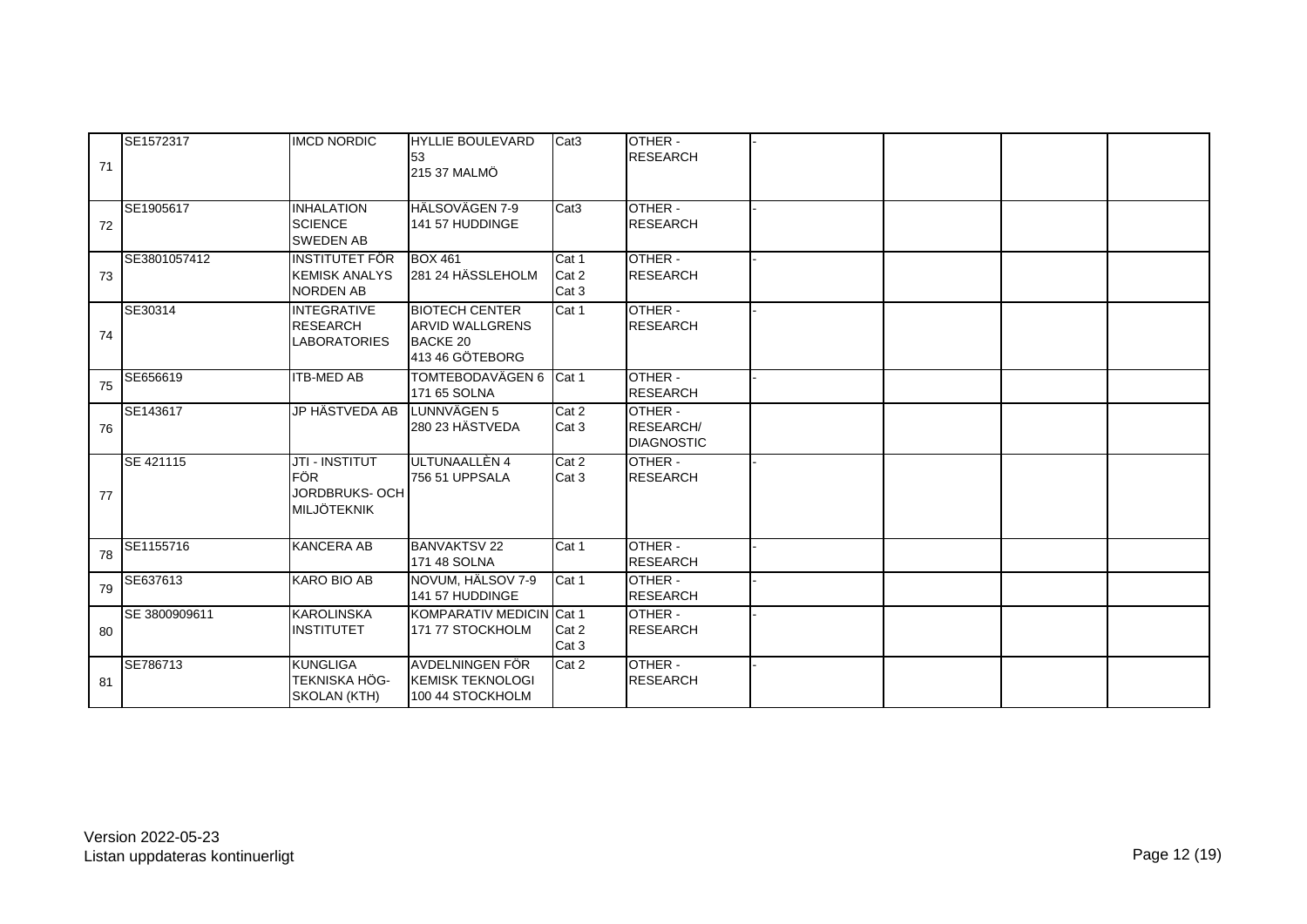| 71 | SE1572317     | <b>IMCD NORDIC</b>                                                  | <b>HYLLIE BOULEVARD</b><br>153<br>215 37 MALMÖ                                        | Cat <sub>3</sub>        | OTHER -<br><b>RESEARCH</b>                       |  |  |
|----|---------------|---------------------------------------------------------------------|---------------------------------------------------------------------------------------|-------------------------|--------------------------------------------------|--|--|
| 72 | SE1905617     | <b>INHALATION</b><br><b>SCIENCE</b><br><b>SWEDEN AB</b>             | HÄLSOVÄGEN 7-9<br>141 57 HUDDINGE                                                     | Cat <sub>3</sub>        | OTHER -<br><b>RESEARCH</b>                       |  |  |
| 73 | SE3801057412  | <b>INSTITUTET FÖR</b><br><b>KEMISK ANALYS</b><br><b>NORDEN AB</b>   | <b>BOX 461</b><br>281 24 HÄSSLEHOLM                                                   | Cat 1<br>Cat 2<br>Cat 3 | OTHER-<br><b>RESEARCH</b>                        |  |  |
| 74 | SE30314       | <b>INTEGRATIVE</b><br><b>RESEARCH</b><br><b>LABORATORIES</b>        | <b>BIOTECH CENTER</b><br><b>ARVID WALLGRENS</b><br><b>BACKE 20</b><br>413 46 GÖTEBORG | Cat 1                   | OTHER -<br><b>RESEARCH</b>                       |  |  |
| 75 | SE656619      | <b>ITB-MED AB</b>                                                   | TOMTEBODAVÄGEN 6 Cat 1<br>171 65 SOLNA                                                |                         | OTHER -<br><b>RESEARCH</b>                       |  |  |
| 76 | SE143617      | <b>JP HÄSTVEDA AB</b>                                               | LUNNVÄGEN 5<br>280 23 HÄSTVEDA                                                        | Cat 2<br>Cat 3          | OTHER -<br><b>RESEARCH/</b><br><b>DIAGNOSTIC</b> |  |  |
| 77 | SE 421115     | <b>JTI - INSTITUT</b><br><b>FÖR</b><br>JORDBRUKS-OCH<br>MILJÖTEKNIK | ULTUNAALLÈN 4<br>756 51 UPPSALA                                                       | Cat 2<br>Cat 3          | OTHER -<br><b>RESEARCH</b>                       |  |  |
| 78 | SE1155716     | <b>KANCERA AB</b>                                                   | <b>BANVAKTSV 22</b><br>171 48 SOLNA                                                   | Cat 1                   | OTHER -<br><b>RESEARCH</b>                       |  |  |
| 79 | SE637613      | KARO BIO AB                                                         | NOVUM, HÄLSOV 7-9<br>141 57 HUDDINGE                                                  | Cat 1                   | OTHER -<br><b>RESEARCH</b>                       |  |  |
| 80 | SE 3800909611 | <b>KAROLINSKA</b><br><b>INSTITUTET</b>                              | KOMPARATIV MEDICIN Cat 1<br>171 77 STOCKHOLM                                          | Cat 2<br>Cat 3          | OTHER -<br><b>RESEARCH</b>                       |  |  |
| 81 | SE786713      | <b>KUNGLIGA</b><br><b>TEKNISKA HÖG-</b><br>SKOLAN (KTH)             | AVDELNINGEN FÖR<br><b>IKEMISK TEKNOLOGI</b><br>100 44 STOCKHOLM                       | Cat 2                   | OTHER -<br><b>RESEARCH</b>                       |  |  |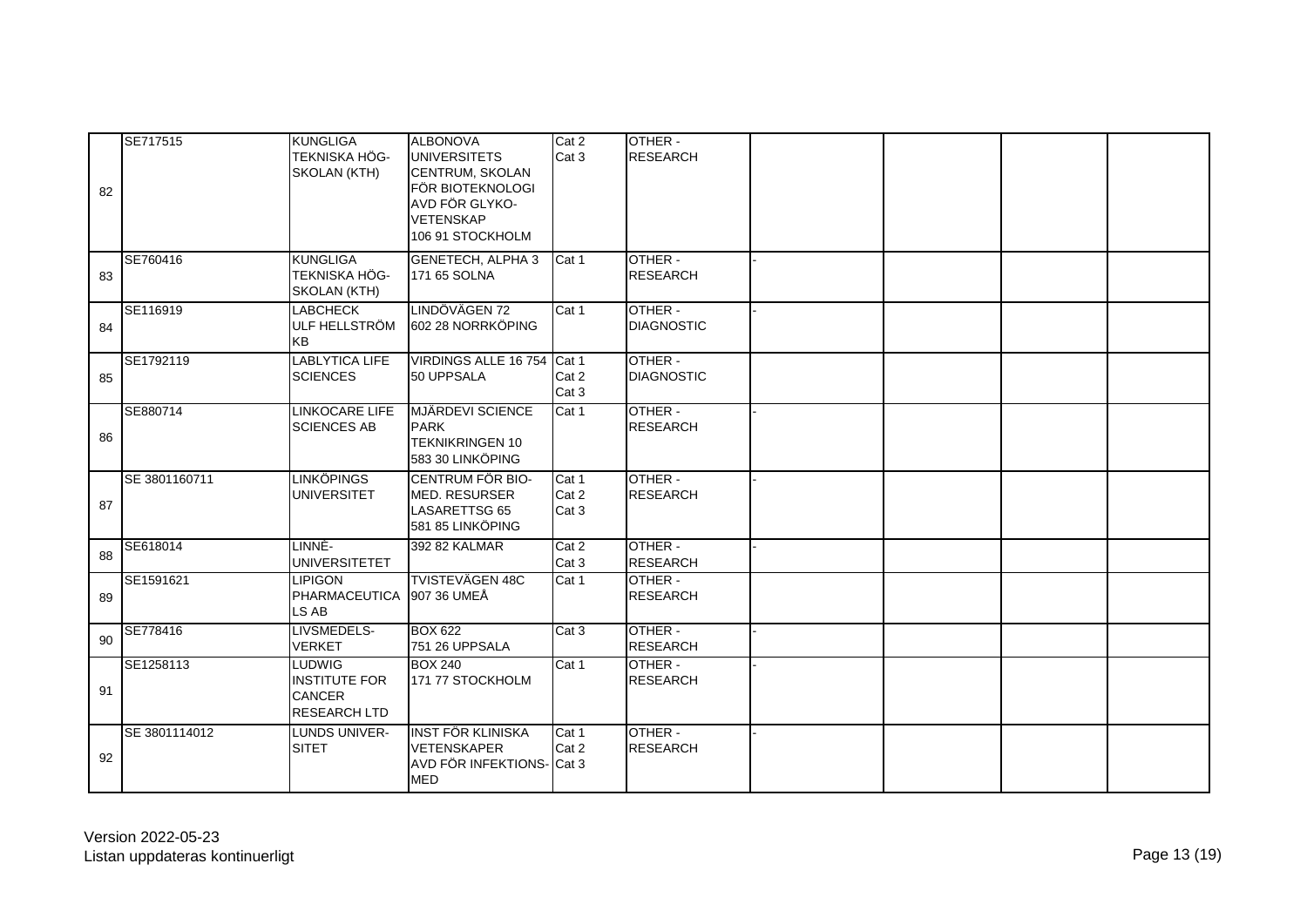| 82 | SE717515      | <b>KUNGLIGA</b><br><b>TEKNISKA HÖG-</b><br>SKOLAN (KTH)                       | ALBONOVA<br><b>UNIVERSITETS</b><br>CENTRUM, SKOLAN<br>FÖR BIOTEKNOLOGI<br>AVD FÖR GLYKO-<br><b>VETENSKAP</b><br>106 91 STOCKHOLM | Cat 2<br>Cat 3          | OTHER -<br><b>RESEARCH</b>   |  |  |
|----|---------------|-------------------------------------------------------------------------------|----------------------------------------------------------------------------------------------------------------------------------|-------------------------|------------------------------|--|--|
| 83 | SE760416      | <b>KUNGLIGA</b><br>TEKNISKA HÖG-<br>SKOLAN (KTH)                              | <b>GENETECH, ALPHA 3</b><br>171 65 SOLNA                                                                                         | Cat 1                   | OTHER -<br><b>RESEARCH</b>   |  |  |
| 84 | SE116919      | <b>LABCHECK</b><br>ULF HELLSTRÖM<br><b>KB</b>                                 | LINDÖVÄGEN 72<br>602 28 NORRKÖPING                                                                                               | Cat 1                   | OTHER -<br><b>DIAGNOSTIC</b> |  |  |
| 85 | SE1792119     | <b>LABLYTICA LIFE</b><br><b>SCIENCES</b>                                      | VIRDINGS ALLE 16 754 Cat 1<br>50 UPPSALA                                                                                         | Cat 2<br>Cat 3          | OTHER -<br><b>DIAGNOSTIC</b> |  |  |
| 86 | SE880714      | <b>LINKOCARE LIFE</b><br><b>SCIENCES AB</b>                                   | <b>MJÄRDEVI SCIENCE</b><br><b>PARK</b><br><b>TEKNIKRINGEN 10</b><br>583 30 LINKÖPING                                             | Cat 1                   | OTHER -<br><b>RESEARCH</b>   |  |  |
| 87 | SE 3801160711 | <b>LINKÖPINGS</b><br><b>UNIVERSITET</b>                                       | <b>CENTRUM FÖR BIO-</b><br><b>MED. RESURSER</b><br>LASARETTSG 65<br>581 85 LINKÖPING                                             | Cat 1<br>Cat 2<br>Cat 3 | OTHER -<br><b>RESEARCH</b>   |  |  |
| 88 | SE618014      | LINNÈ-<br><b>UNIVERSITETET</b>                                                | 392 82 KALMAR                                                                                                                    | Cat 2<br>Cat 3          | OTHER -<br><b>RESEARCH</b>   |  |  |
| 89 | SE1591621     | <b>LIPIGON</b><br>PHARMACEUTICA<br>LS AB                                      | <b>TVISTEVÄGEN 48C</b><br>907 36 UMEÅ                                                                                            | Cat 1                   | OTHER -<br><b>RESEARCH</b>   |  |  |
| 90 | SE778416      | LIVSMEDELS-<br><b>VERKET</b>                                                  | <b>BOX 622</b><br>751 26 UPPSALA                                                                                                 | Cat 3                   | OTHER -<br><b>RESEARCH</b>   |  |  |
| 91 | SE1258113     | <b>LUDWIG</b><br><b>INSTITUTE FOR</b><br><b>CANCER</b><br><b>RESEARCH LTD</b> | <b>BOX 240</b><br>171 77 STOCKHOLM                                                                                               | Cat 1                   | OTHER -<br><b>RESEARCH</b>   |  |  |
| 92 | SE 3801114012 | LUNDS UNIVER-<br><b>SITET</b>                                                 | <b>INST FÖR KLINISKA</b><br><b>VETENSKAPER</b><br>AVD FÖR INFEKTIONS- Cat 3<br><b>MED</b>                                        | Cat 1<br>Cat 2          | OTHER -<br><b>RESEARCH</b>   |  |  |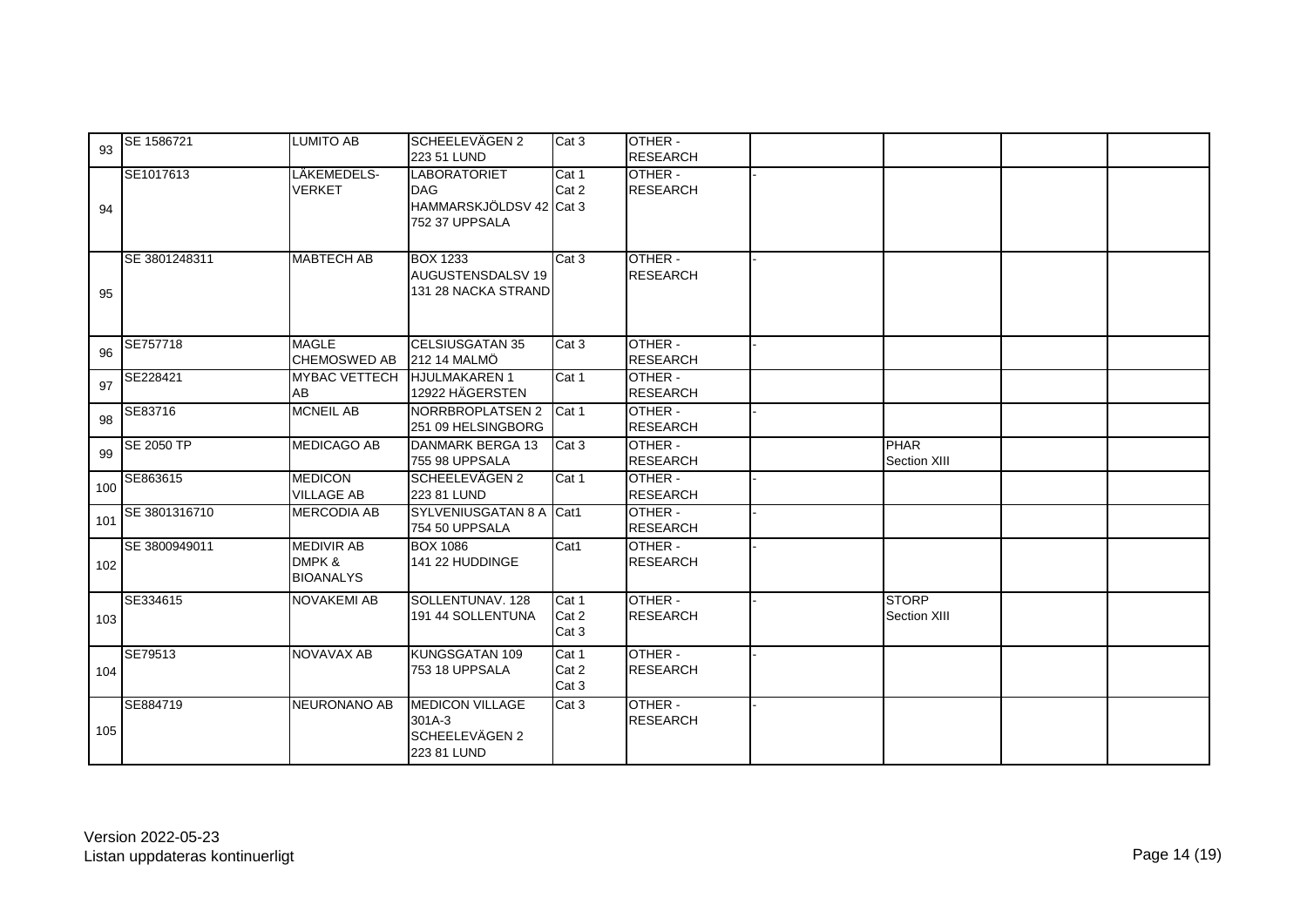| 93  | SE 1586721    | <b>LUMITO AB</b>                                | <b>ISCHEELEVÄGEN 2</b><br>223 51 LUND                                          | Cat 3                   | OTHER -<br><b>RESEARCH</b>       |                              |  |
|-----|---------------|-------------------------------------------------|--------------------------------------------------------------------------------|-------------------------|----------------------------------|------------------------------|--|
| 94  | SE1017613     | LÄKEMEDELS-<br><b>VERKET</b>                    | <b>LABORATORIET</b><br><b>DAG</b><br>HAMMARSKJÖLDSV 42 Cat 3<br>752 37 UPPSALA | Cat 1<br>Cat 2          | OTHER -<br><b>RESEARCH</b>       |                              |  |
| 95  | SE 3801248311 | <b>MABTECH AB</b>                               | <b>BOX 1233</b><br>AUGUSTENSDALSV 19<br>131 28 NACKA STRAND                    | Cat 3                   | OTHER -<br><b>RESEARCH</b>       |                              |  |
| 96  | SE757718      | <b>MAGLE</b><br><b>CHEMOSWED AB</b>             | <b>CELSIUSGATAN 35</b><br><b>212 14 MALMÖ</b>                                  | Cat 3                   | OTHER -<br><b>RESEARCH</b>       |                              |  |
| 97  | SE228421      | <b>MYBAC VETTECH</b><br>AB                      | <b>HJULMAKAREN1</b><br>12922 HÄGERSTEN                                         | Cat 1                   | OTHER -<br><b>RESEARCH</b>       |                              |  |
| 98  | SE83716       | <b>MCNEIL AB</b>                                | NORRBROPLATSEN 2<br>251 09 HELSINGBORG                                         | Cat 1                   | OTHER -<br><b>RESEARCH</b>       |                              |  |
| 99  | SE 2050 TP    | <b>MEDICAGO AB</b>                              | <b>DANMARK BERGA 13</b><br>755 98 UPPSALA                                      | Cat 3                   | OTHER -<br><b>RESEARCH</b>       | <b>PHAR</b><br>Section XIII  |  |
| 100 | SE863615      | <b>MEDICON</b><br><b>VILLAGE AB</b>             | SCHEELEVÄGEN 2<br>223 81 LUND                                                  | Cat 1                   | OTHER -<br><b>RESEARCH</b>       |                              |  |
| 101 | SE 3801316710 | <b>MERCODIA AB</b>                              | SYLVENIUSGATAN 8 A Cat1<br>754 50 UPPSALA                                      |                         | OTHER -<br><b>RESEARCH</b>       |                              |  |
| 102 | SE 3800949011 | <b>MEDIVIR AB</b><br>DMPK &<br><b>BIOANALYS</b> | <b>BOX 1086</b><br>141 22 HUDDINGE                                             | Cat1                    | OTHER -<br><b>RESEARCH</b>       |                              |  |
| 103 | SE334615      | <b>NOVAKEMI AB</b>                              | SOLLENTUNAV. 128<br>191 44 SOLLENTUNA                                          | Cat 1<br>Cat 2<br>Cat 3 | OTHER -<br><b>RESEARCH</b>       | <b>STORP</b><br>Section XIII |  |
| 104 | SE79513       | NOVAVAX AB                                      | KUNGSGATAN 109<br>753 18 UPPSALA                                               | Cat 1<br>Cat 2<br>Cat 3 | <b>OTHER-</b><br><b>RESEARCH</b> |                              |  |
| 105 | SE884719      | NEURONANO AB                                    | <b>MEDICON VILLAGE</b><br>301A-3<br>SCHEELEVÄGEN 2<br>223 81 LUND              | Cat 3                   | OTHER -<br><b>RESEARCH</b>       |                              |  |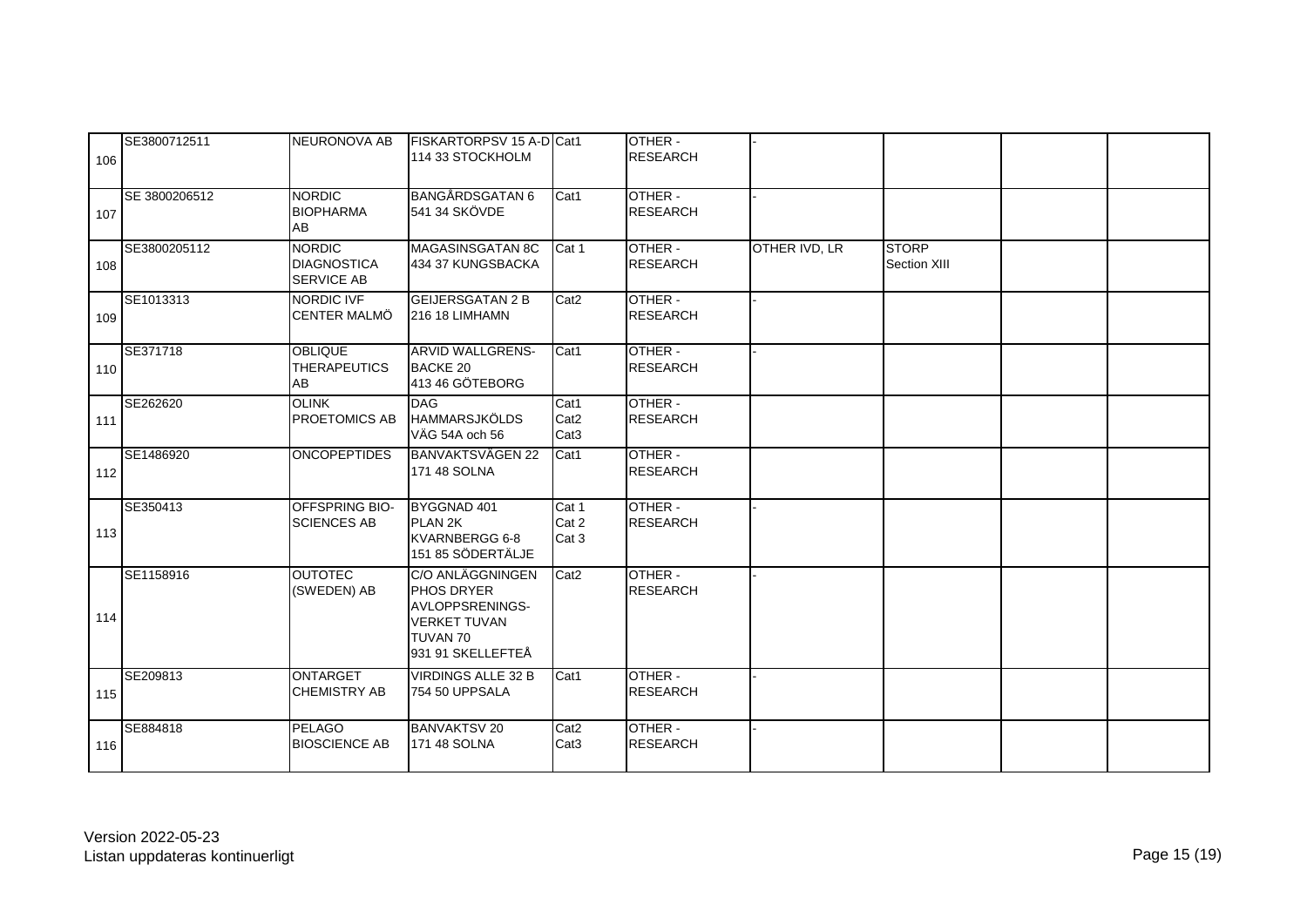| 106 | SE3800712511  | NEURONOVA AB                                             | FISKARTORPSV 15 A-D Cat1<br>114 33 STOCKHOLM                                                                     |                                              | OTHER -<br><b>RESEARCH</b> |                      |                              |  |
|-----|---------------|----------------------------------------------------------|------------------------------------------------------------------------------------------------------------------|----------------------------------------------|----------------------------|----------------------|------------------------------|--|
| 107 | SE 3800206512 | <b>NORDIC</b><br><b>BIOPHARMA</b><br>AB                  | <b>BANGÅRDSGATAN 6</b><br>541 34 SKÖVDE                                                                          | Cat1                                         | OTHER -<br><b>RESEARCH</b> |                      |                              |  |
| 108 | SE3800205112  | <b>NORDIC</b><br><b>DIAGNOSTICA</b><br><b>SERVICE AB</b> | MAGASINSGATAN 8C<br>434 37 KUNGSBACKA                                                                            | Cat 1                                        | OTHER -<br><b>RESEARCH</b> | <b>OTHER IVD, LR</b> | <b>STORP</b><br>Section XIII |  |
| 109 | SE1013313     | <b>NORDIC IVF</b><br><b>CENTER MALMÖ</b>                 | <b>GEIJERSGATAN 2 B</b><br>216 18 LIMHAMN                                                                        | Cat <sub>2</sub>                             | OTHER -<br><b>RESEARCH</b> |                      |                              |  |
| 110 | SE371718      | <b>OBLIQUE</b><br><b>THERAPEUTICS</b><br>AB              | <b>ARVID WALLGRENS-</b><br>BACKE 20<br>413 46 GÖTEBORG                                                           | Cat1                                         | OTHER -<br><b>RESEARCH</b> |                      |                              |  |
| 111 | SE262620      | <b>OLINK</b><br><b>PROETOMICS AB</b>                     | <b>DAG</b><br><b>HAMMARSJKÖLDS</b><br>VÄG 54A och 56                                                             | Cat1<br>Cat <sub>2</sub><br>Cat <sub>3</sub> | OTHER -<br><b>RESEARCH</b> |                      |                              |  |
| 112 | SE1486920     | <b>ONCOPEPTIDES</b>                                      | <b>BANVAKTSVÄGEN 22</b><br>171 48 SOLNA                                                                          | Cat1                                         | OTHER -<br><b>RESEARCH</b> |                      |                              |  |
| 113 | SE350413      | <b>OFFSPRING BIO-</b><br><b>SCIENCES AB</b>              | BYGGNAD 401<br>PLAN <sub>2K</sub><br>KVARNBERGG 6-8<br>151 85 SÖDERTÄLJE                                         | Cat 1<br>Cat 2<br>Cat 3                      | OTHER -<br><b>RESEARCH</b> |                      |                              |  |
| 114 | SE1158916     | <b>OUTOTEC</b><br>(SWEDEN) AB                            | C/O ANLÄGGNINGEN<br>PHOS DRYER<br><b>AVLOPPSRENINGS-</b><br><b>VERKET TUVAN</b><br>TUVAN 70<br>931 91 SKELLEFTEÅ | Cat <sub>2</sub>                             | OTHER -<br><b>RESEARCH</b> |                      |                              |  |
| 115 | SE209813      | <b>ONTARGET</b><br><b>CHEMISTRY AB</b>                   | <b>VIRDINGS ALLE 32 B</b><br>754 50 UPPSALA                                                                      | Cat1                                         | OTHER -<br><b>RESEARCH</b> |                      |                              |  |
| 116 | SE884818      | <b>PELAGO</b><br><b>BIOSCIENCE AB</b>                    | <b>BANVAKTSV 20</b><br>171 48 SOLNA                                                                              | Cat <sub>2</sub><br>Cat <sub>3</sub>         | OTHER -<br><b>RESEARCH</b> |                      |                              |  |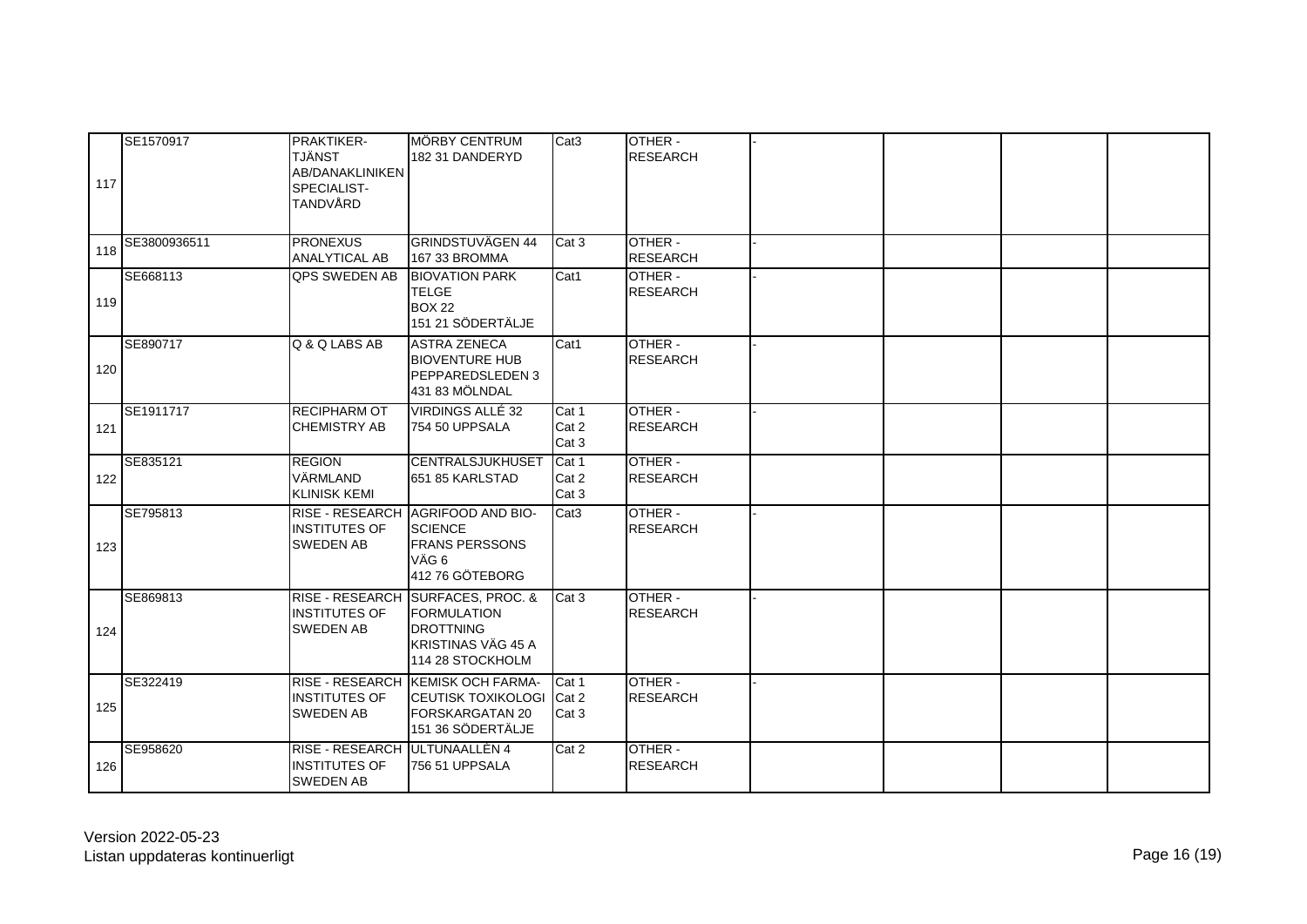| 117 | SE1570917    | <b>PRAKTIKER-</b><br><b>TJÄNST</b><br><b>AB/DANAKLINIKEN</b><br>SPECIALIST-<br>TANDVÅRD | <b>IMÖRBY CENTRUM</b><br>182 31 DANDERYD                                                                                     | Cat <sub>3</sub>        | OTHER -<br><b>RESEARCH</b> |  |  |
|-----|--------------|-----------------------------------------------------------------------------------------|------------------------------------------------------------------------------------------------------------------------------|-------------------------|----------------------------|--|--|
| 118 | SE3800936511 | <b>PRONEXUS</b><br><b>ANALYTICAL AB</b>                                                 | <b>GRINDSTUVÄGEN 44</b><br>167 33 BROMMA                                                                                     | Cat <sub>3</sub>        | OTHER -<br><b>RESEARCH</b> |  |  |
| 119 | SE668113     | <b>QPS SWEDEN AB</b>                                                                    | <b>BIOVATION PARK</b><br><b>TELGE</b><br>BOX 22<br>151 21 SÖDERTÄLJE                                                         | Cat1                    | OTHER -<br><b>RESEARCH</b> |  |  |
| 120 | SE890717     | Q & Q LABS AB                                                                           | <b>ASTRA ZENECA</b><br><b>BIOVENTURE HUB</b><br><b>PEPPAREDSLEDEN 3</b><br>431 83 MÖLNDAL                                    | Cat1                    | OTHER -<br><b>RESEARCH</b> |  |  |
| 121 | SE1911717    | <b>RECIPHARM OT</b><br><b>CHEMISTRY AB</b>                                              | VIRDINGS ALLÉ 32<br>754 50 UPPSALA                                                                                           | Cat 1<br>Cat 2<br>Cat 3 | OTHER -<br><b>RESEARCH</b> |  |  |
| 122 | SE835121     | <b>REGION</b><br>VÄRMLAND<br><b>KLINISK KEMI</b>                                        | <b>CENTRALSJUKHUSET</b><br>651 85 KARLSTAD                                                                                   | Cat 1<br>Cat 2<br>Cat 3 | OTHER -<br><b>RESEARCH</b> |  |  |
| 123 | SE795813     | <b>INSTITUTES OF</b><br><b>SWEDEN AB</b>                                                | RISE - RESEARCH AGRIFOOD AND BIO-<br><b>SCIENCE</b><br><b>FRANS PERSSONS</b><br>VÄG 6<br>412 76 GÖTEBORG                     | Cat <sub>3</sub>        | OTHER -<br><b>RESEARCH</b> |  |  |
| 124 | SE869813     | <b>INSTITUTES OF</b><br><b>SWEDEN AB</b>                                                | RISE - RESEARCH SURFACES, PROC. &<br><b>FORMULATION</b><br><b>DROTTNING</b><br><b>KRISTINAS VÄG 45 A</b><br>114 28 STOCKHOLM | Cat 3                   | OTHER -<br><b>RESEARCH</b> |  |  |
| 125 | SE322419     | <b>INSTITUTES OF</b><br><b>SWEDEN AB</b>                                                | RISE - RESEARCH KEMISK OCH FARMA-<br><b>CEUTISK TOXIKOLOGI</b><br><b>FORSKARGATAN 20</b><br>151 36 SÖDERTÄLJE                | Cat 1<br>Cat 2<br>Cat 3 | OTHER -<br><b>RESEARCH</b> |  |  |
| 126 | SE958620     | RISE - RESEARCH ULTUNAALLÈN 4<br><b>INSTITUTES OF</b><br><b>SWEDEN AB</b>               | 756 51 UPPSALA                                                                                                               | Cat 2                   | OTHER -<br><b>RESEARCH</b> |  |  |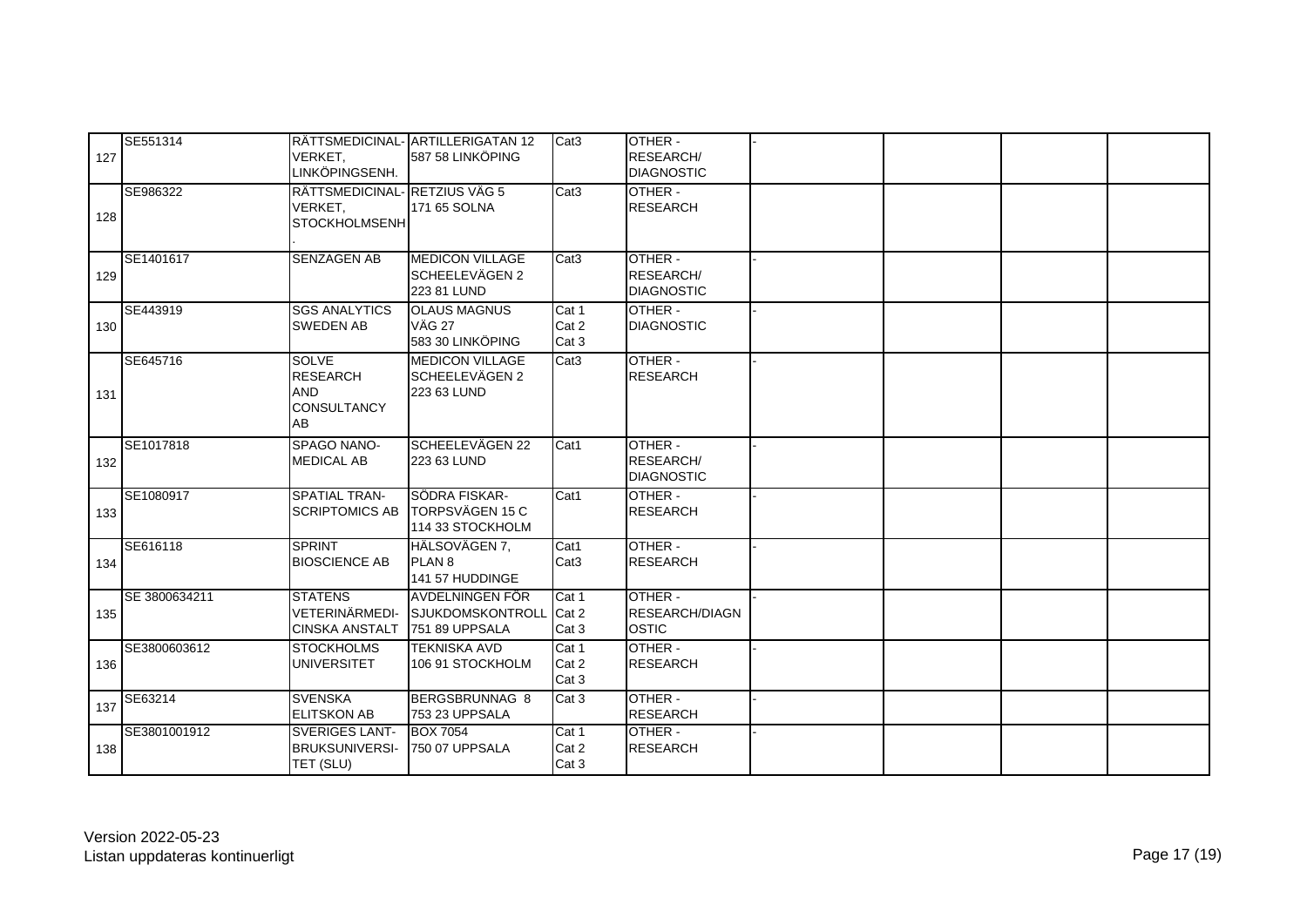| 127 | SE551314      | VERKET.<br>LINKÖPINGSENH.                                                 | RÄTTSMEDICINAL- ARTILLERIGATAN 12<br>587 58 LINKÖPING       | Cat <sub>3</sub>         | OTHER -<br><b>RESEARCH/</b><br><b>DIAGNOSTIC</b> |  |  |
|-----|---------------|---------------------------------------------------------------------------|-------------------------------------------------------------|--------------------------|--------------------------------------------------|--|--|
| 128 | SE986322      | RÄTTSMEDICINAL-RETZIUS VÄG 5<br>VERKET,<br><b>STOCKHOLMSENH</b>           | 171 65 SOLNA                                                | Cat <sub>3</sub>         | OTHER -<br><b>RESEARCH</b>                       |  |  |
| 129 | SE1401617     | <b>SENZAGEN AB</b>                                                        | <b>MEDICON VILLAGE</b><br>SCHEELEVÄGEN 2<br>223 81 LUND     | Cat <sub>3</sub>         | OTHER -<br>RESEARCH/<br><b>DIAGNOSTIC</b>        |  |  |
| 130 | SE443919      | <b>SGS ANALYTICS</b><br><b>SWEDEN AB</b>                                  | <b>OLAUS MAGNUS</b><br><b>VÄG 27</b><br>583 30 LINKÖPING    | Cat 1<br>Cat 2<br>Cat 3  | OTHER -<br><b>DIAGNOSTIC</b>                     |  |  |
| 131 | SE645716      | <b>SOLVE</b><br><b>RESEARCH</b><br><b>AND</b><br><b>CONSULTANCY</b><br>AB | <b>MEDICON VILLAGE</b><br>SCHEELEVÄGEN 2<br>223 63 LUND     | Cat <sub>3</sub>         | OTHER -<br><b>RESEARCH</b>                       |  |  |
| 132 | SE1017818     | SPAGO NANO-<br><b>MEDICAL AB</b>                                          | SCHEELEVÄGEN 22<br>223 63 LUND                              | Cat1                     | OTHER -<br><b>RESEARCH/</b><br><b>DIAGNOSTIC</b> |  |  |
| 133 | SE1080917     | <b>SPATIAL TRAN-</b><br><b>SCRIPTOMICS AB</b>                             | <b>SÖDRA FISKAR-</b><br>TORPSVÄGEN 15 C<br>114 33 STOCKHOLM | Cat1                     | OTHER -<br><b>RESEARCH</b>                       |  |  |
| 134 | SE616118      | <b>SPRINT</b><br><b>BIOSCIENCE AB</b>                                     | HÄLSOVÄGEN 7,<br><b>PLAN 8</b><br>141 57 HUDDINGE           | Cat1<br>Cat <sub>3</sub> | OTHER -<br><b>RESEARCH</b>                       |  |  |
| 135 | SE 3800634211 | <b>STATENS</b><br>VETERINÄRMEDI-<br><b>CINSKA ANSTALT</b>                 | AVDELNINGEN FÖR<br>SJUKDOMSKONTROLL Cat 2<br>751 89 UPPSALA | Cat 1<br>Cat 3           | OTHER -<br><b>RESEARCH/DIAGN</b><br><b>OSTIC</b> |  |  |
| 136 | SE3800603612  | <b>STOCKHOLMS</b><br><b>UNIVERSITET</b>                                   | <b>TEKNISKA AVD</b><br>106 91 STOCKHOLM                     | Cat 1<br>Cat 2<br>Cat 3  | OTHER -<br><b>RESEARCH</b>                       |  |  |
| 137 | SE63214       | <b>SVENSKA</b><br><b>ELITSKON AB</b>                                      | BERGSBRUNNAG 8<br>753 23 UPPSALA                            | Cat 3                    | OTHER -<br><b>RESEARCH</b>                       |  |  |
| 138 | SE3801001912  | <b>SVERIGES LANT-</b><br><b>BRUKSUNIVERSI-</b><br>TET (SLU)               | <b>BOX 7054</b><br>750 07 UPPSALA                           | Cat 1<br>Cat 2<br>Cat 3  | OTHER -<br><b>RESEARCH</b>                       |  |  |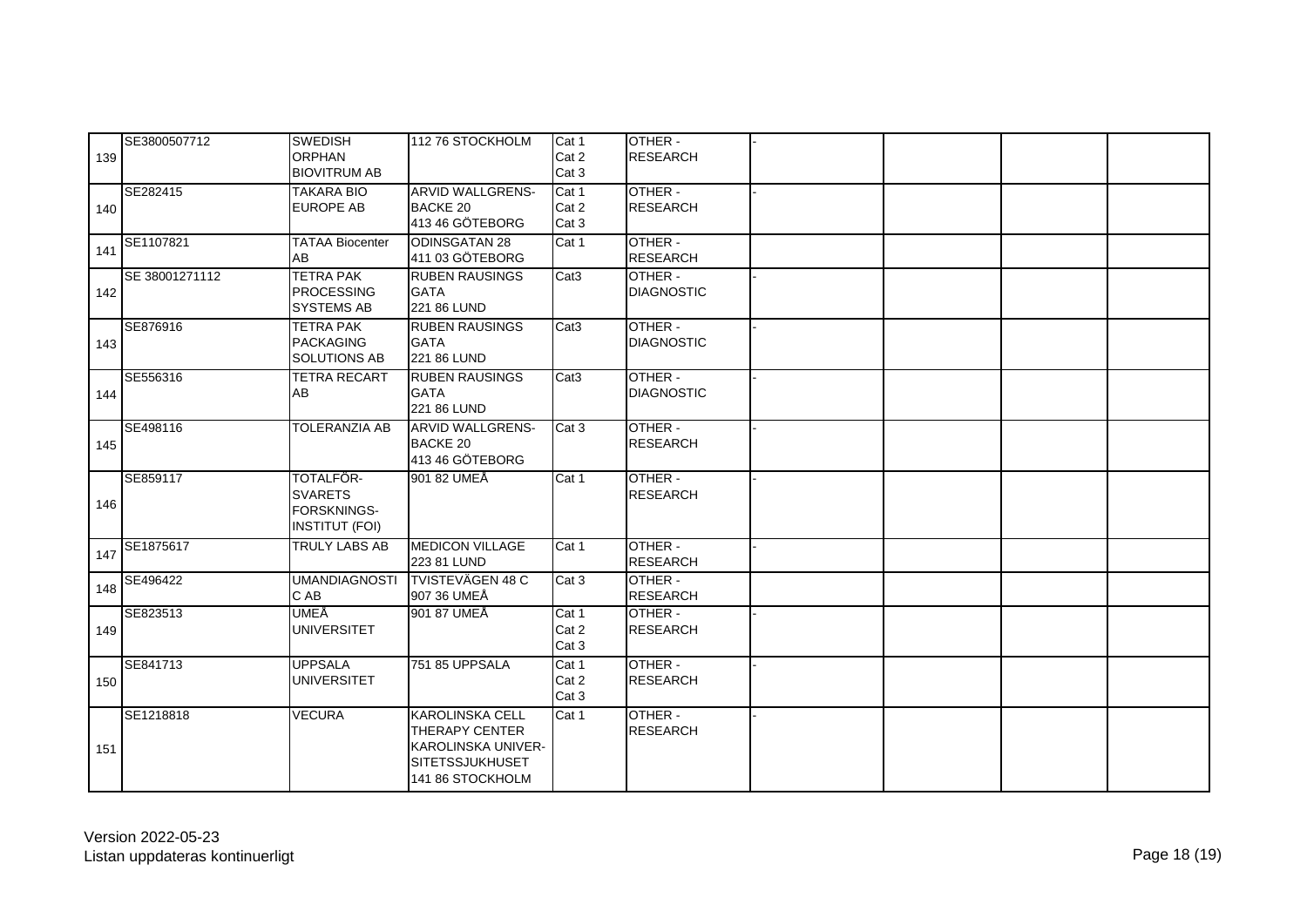| 139 | SE3800507712   | <b>SWEDISH</b><br><b>ORPHAN</b><br><b>BIOVITRUM AB</b>              | 112 76 STOCKHOLM                                                                                                    | Cat 1<br>Cat 2<br>Cat 3 | OTHER -<br><b>RESEARCH</b>   |  |  |
|-----|----------------|---------------------------------------------------------------------|---------------------------------------------------------------------------------------------------------------------|-------------------------|------------------------------|--|--|
| 140 | SE282415       | <b>TAKARA BIO</b><br><b>EUROPE AB</b>                               | <b>ARVID WALLGRENS-</b><br>BACKE 20<br>413 46 GÖTEBORG                                                              | Cat 1<br>Cat 2<br>Cat 3 | OTHER -<br><b>RESEARCH</b>   |  |  |
| 141 | SE1107821      | <b>TATAA Biocenter</b><br>AB                                        | <b>ODINSGATAN 28</b><br>411 03 GÖTEBORG                                                                             | Cat 1                   | OTHER -<br><b>RESEARCH</b>   |  |  |
| 142 | SE 38001271112 | <b>TETRA PAK</b><br><b>PROCESSING</b><br>SYSTEMS AB                 | <b>RUBEN RAUSINGS</b><br><b>GATA</b><br>221 86 LUND                                                                 | Cat <sub>3</sub>        | OTHER -<br><b>DIAGNOSTIC</b> |  |  |
| 143 | SE876916       | <b>TETRA PAK</b><br><b>PACKAGING</b><br>SOLUTIONS AB                | <b>RUBEN RAUSINGS</b><br><b>GATA</b><br>221 86 LUND                                                                 | Cat <sub>3</sub>        | OTHER -<br><b>DIAGNOSTIC</b> |  |  |
| 144 | SE556316       | <b>TETRA RECART</b><br>AB                                           | <b>RUBEN RAUSINGS</b><br><b>GATA</b><br>221 86 LUND                                                                 | Cat <sub>3</sub>        | OTHER -<br><b>DIAGNOSTIC</b> |  |  |
| 145 | SE498116       | TOLERANZIA AB                                                       | <b>ARVID WALLGRENS-</b><br>BACKE 20<br>413 46 GÖTEBORG                                                              | Cat 3                   | OTHER -<br><b>RESEARCH</b>   |  |  |
| 146 | SE859117       | TOTALFÖR-<br><b>SVARETS</b><br>FORSKNINGS-<br><b>INSTITUT (FOI)</b> | 901 82 UMEÅ                                                                                                         | Cat 1                   | OTHER -<br><b>RESEARCH</b>   |  |  |
| 147 | SE1875617      | TRULY LABS AB                                                       | <b>MEDICON VILLAGE</b><br>223 81 LUND                                                                               | Cat 1                   | OTHER -<br><b>RESEARCH</b>   |  |  |
| 148 | SE496422       | <b>UMANDIAGNOSTI</b><br>C AB                                        | <b>TVISTEVÄGEN 48 C</b><br>907 36 UMEÅ                                                                              | Cat 3                   | OTHER -<br><b>RESEARCH</b>   |  |  |
| 149 | SE823513       | UMEÅ<br><b>UNIVERSITET</b>                                          | 901 87 UMEÅ                                                                                                         | Cat 1<br>Cat 2<br>Cat 3 | OTHER -<br><b>RESEARCH</b>   |  |  |
| 150 | SE841713       | <b>UPPSALA</b><br><b>UNIVERSITET</b>                                | 751 85 UPPSALA                                                                                                      | Cat 1<br>Cat 2<br>Cat 3 | OTHER -<br><b>RESEARCH</b>   |  |  |
| 151 | SE1218818      | <b>VECURA</b>                                                       | <b>KAROLINSKA CELL</b><br><b>THERAPY CENTER</b><br>KAROLINSKA UNIVER-<br><b>SITETSSJUKHUSET</b><br>141 86 STOCKHOLM | Cat 1                   | OTHER -<br><b>RESEARCH</b>   |  |  |